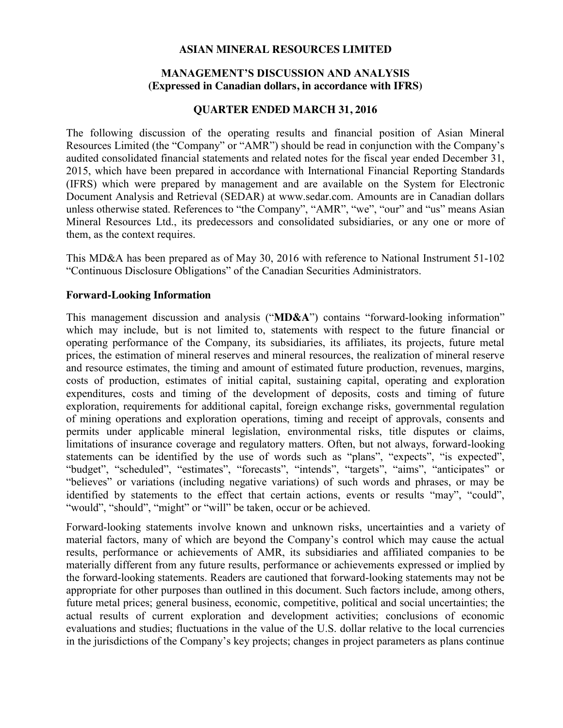#### **ASIAN MINERAL RESOURCES LIMITED**

### **MANAGEMENT'S DISCUSSION AND ANALYSIS (Expressed in Canadian dollars, in accordance with IFRS)**

#### **QUARTER ENDED MARCH 31, 2016**

The following discussion of the operating results and financial position of Asian Mineral Resources Limited (the "Company" or "AMR") should be read in conjunction with the Company's audited consolidated financial statements and related notes for the fiscal year ended December 31, 2015, which have been prepared in accordance with International Financial Reporting Standards (IFRS) which were prepared by management and are available on the System for Electronic Document Analysis and Retrieval (SEDAR) at www.sedar.com. Amounts are in Canadian dollars unless otherwise stated. References to "the Company", "AMR", "we", "our" and "us" means Asian Mineral Resources Ltd., its predecessors and consolidated subsidiaries, or any one or more of them, as the context requires.

This MD&A has been prepared as of May 30, 2016 with reference to National Instrument 51-102 "Continuous Disclosure Obligations" of the Canadian Securities Administrators.

#### **Forward-Looking Information**

This management discussion and analysis ("**MD&A**") contains "forward-looking information" which may include, but is not limited to, statements with respect to the future financial or operating performance of the Company, its subsidiaries, its affiliates, its projects, future metal prices, the estimation of mineral reserves and mineral resources, the realization of mineral reserve and resource estimates, the timing and amount of estimated future production, revenues, margins, costs of production, estimates of initial capital, sustaining capital, operating and exploration expenditures, costs and timing of the development of deposits, costs and timing of future exploration, requirements for additional capital, foreign exchange risks, governmental regulation of mining operations and exploration operations, timing and receipt of approvals, consents and permits under applicable mineral legislation, environmental risks, title disputes or claims, limitations of insurance coverage and regulatory matters. Often, but not always, forward-looking statements can be identified by the use of words such as "plans", "expects", "is expected", "budget", "scheduled", "estimates", "forecasts", "intends", "targets", "aims", "anticipates" or "believes" or variations (including negative variations) of such words and phrases, or may be identified by statements to the effect that certain actions, events or results "may", "could", "would", "should", "might" or "will" be taken, occur or be achieved.

Forward-looking statements involve known and unknown risks, uncertainties and a variety of material factors, many of which are beyond the Company's control which may cause the actual results, performance or achievements of AMR, its subsidiaries and affiliated companies to be materially different from any future results, performance or achievements expressed or implied by the forward-looking statements. Readers are cautioned that forward-looking statements may not be appropriate for other purposes than outlined in this document. Such factors include, among others, future metal prices; general business, economic, competitive, political and social uncertainties; the actual results of current exploration and development activities; conclusions of economic evaluations and studies; fluctuations in the value of the U.S. dollar relative to the local currencies in the jurisdictions of the Company's key projects; changes in project parameters as plans continue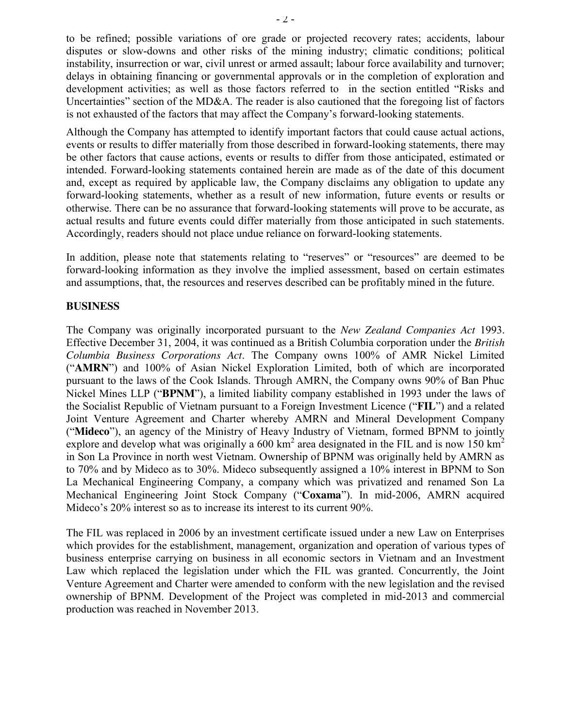to be refined; possible variations of ore grade or projected recovery rates; accidents, labour disputes or slow-downs and other risks of the mining industry; climatic conditions; political instability, insurrection or war, civil unrest or armed assault; labour force availability and turnover; delays in obtaining financing or governmental approvals or in the completion of exploration and development activities; as well as those factors referred to in the section entitled "Risks and Uncertainties" section of the MD&A. The reader is also cautioned that the foregoing list of factors is not exhausted of the factors that may affect the Company's forward-looking statements.

Although the Company has attempted to identify important factors that could cause actual actions, events or results to differ materially from those described in forward-looking statements, there may be other factors that cause actions, events or results to differ from those anticipated, estimated or intended. Forward-looking statements contained herein are made as of the date of this document and, except as required by applicable law, the Company disclaims any obligation to update any forward-looking statements, whether as a result of new information, future events or results or otherwise. There can be no assurance that forward-looking statements will prove to be accurate, as actual results and future events could differ materially from those anticipated in such statements. Accordingly, readers should not place undue reliance on forward-looking statements.

In addition, please note that statements relating to "reserves" or "resources" are deemed to be forward-looking information as they involve the implied assessment, based on certain estimates and assumptions, that, the resources and reserves described can be profitably mined in the future.

#### **BUSINESS**

The Company was originally incorporated pursuant to the *New Zealand Companies Act* 1993. Effective December 31, 2004, it was continued as a British Columbia corporation under the *British Columbia Business Corporations Act*. The Company owns 100% of AMR Nickel Limited ("**AMRN**") and 100% of Asian Nickel Exploration Limited, both of which are incorporated pursuant to the laws of the Cook Islands. Through AMRN, the Company owns 90% of Ban Phuc Nickel Mines LLP ("**BPNM**"), a limited liability company established in 1993 under the laws of the Socialist Republic of Vietnam pursuant to a Foreign Investment Licence ("**FIL**") and a related Joint Venture Agreement and Charter whereby AMRN and Mineral Development Company ("**Mideco**"), an agency of the Ministry of Heavy Industry of Vietnam, formed BPNM to jointly explore and develop what was originally a 600 km<sup>2</sup> area designated in the FIL and is now 150 km<sup>2</sup> in Son La Province in north west Vietnam. Ownership of BPNM was originally held by AMRN as to 70% and by Mideco as to 30%. Mideco subsequently assigned a 10% interest in BPNM to Son La Mechanical Engineering Company, a company which was privatized and renamed Son La Mechanical Engineering Joint Stock Company ("**Coxama**"). In mid-2006, AMRN acquired Mideco's 20% interest so as to increase its interest to its current 90%.

The FIL was replaced in 2006 by an investment certificate issued under a new Law on Enterprises which provides for the establishment, management, organization and operation of various types of business enterprise carrying on business in all economic sectors in Vietnam and an Investment Law which replaced the legislation under which the FIL was granted. Concurrently, the Joint Venture Agreement and Charter were amended to conform with the new legislation and the revised ownership of BPNM. Development of the Project was completed in mid-2013 and commercial production was reached in November 2013.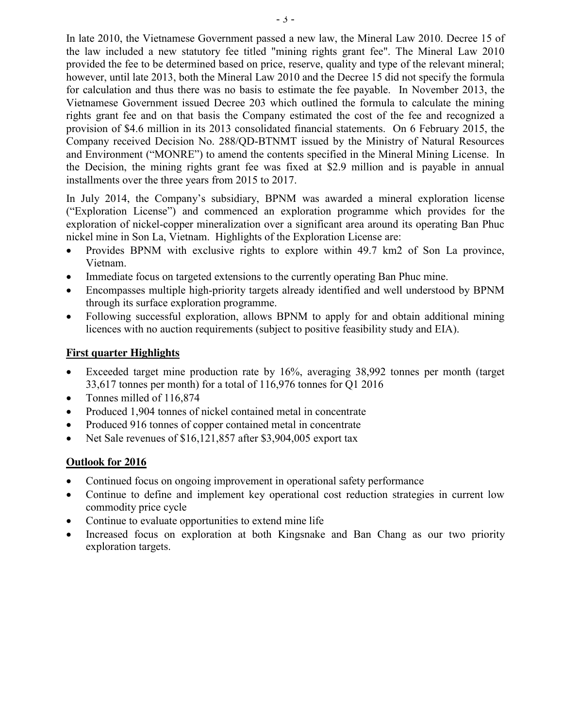In late 2010, the Vietnamese Government passed a new law, the Mineral Law 2010. Decree 15 of the law included a new statutory fee titled "mining rights grant fee". The Mineral Law 2010 provided the fee to be determined based on price, reserve, quality and type of the relevant mineral; however, until late 2013, both the Mineral Law 2010 and the Decree 15 did not specify the formula for calculation and thus there was no basis to estimate the fee payable. In November 2013, the Vietnamese Government issued Decree 203 which outlined the formula to calculate the mining rights grant fee and on that basis the Company estimated the cost of the fee and recognized a provision of \$4.6 million in its 2013 consolidated financial statements. On 6 February 2015, the Company received Decision No. 288/QD-BTNMT issued by the Ministry of Natural Resources and Environment ("MONRE") to amend the contents specified in the Mineral Mining License. In the Decision, the mining rights grant fee was fixed at \$2.9 million and is payable in annual installments over the three years from 2015 to 2017.

In July 2014, the Company's subsidiary, BPNM was awarded a mineral exploration license ("Exploration License") and commenced an exploration programme which provides for the exploration of nickel-copper mineralization over a significant area around its operating Ban Phuc nickel mine in Son La, Vietnam. Highlights of the Exploration License are:

- Provides BPNM with exclusive rights to explore within 49.7 km2 of Son La province, Vietnam.
- Immediate focus on targeted extensions to the currently operating Ban Phuc mine.
- Encompasses multiple high-priority targets already identified and well understood by BPNM through its surface exploration programme.
- Following successful exploration, allows BPNM to apply for and obtain additional mining licences with no auction requirements (subject to positive feasibility study and EIA).

### **First quarter Highlights**

- Exceeded target mine production rate by 16%, averaging 38,992 tonnes per month (target 33,617 tonnes per month) for a total of 116,976 tonnes for Q1 2016
- Tonnes milled of  $116,874$
- Produced 1,904 tonnes of nickel contained metal in concentrate
- Produced 916 tonnes of copper contained metal in concentrate
- Net Sale revenues of  $$16,121,857$  after  $$3,904,005$  export tax

### **Outlook for 2016**

- Continued focus on ongoing improvement in operational safety performance
- Continue to define and implement key operational cost reduction strategies in current low commodity price cycle
- Continue to evaluate opportunities to extend mine life
- Increased focus on exploration at both Kingsnake and Ban Chang as our two priority exploration targets.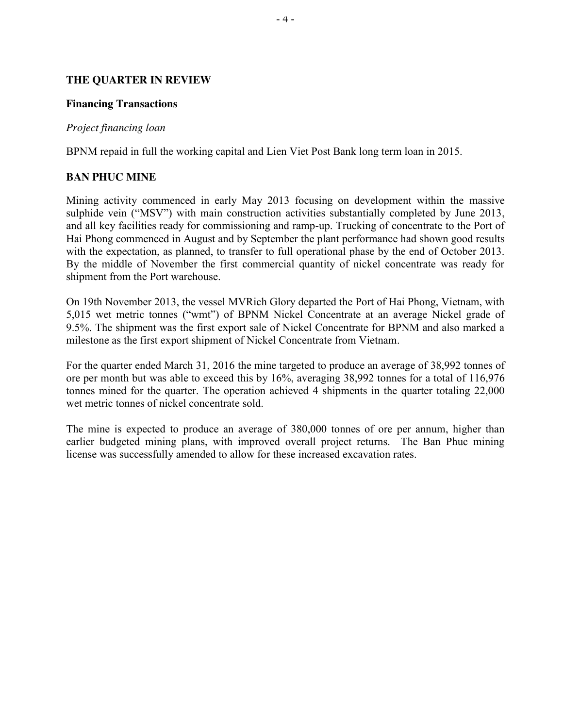### **THE QUARTER IN REVIEW**

#### **Financing Transactions**

#### *Project financing loan*

BPNM repaid in full the working capital and Lien Viet Post Bank long term loan in 2015.

### **BAN PHUC MINE**

Mining activity commenced in early May 2013 focusing on development within the massive sulphide vein ("MSV") with main construction activities substantially completed by June 2013, and all key facilities ready for commissioning and ramp-up. Trucking of concentrate to the Port of Hai Phong commenced in August and by September the plant performance had shown good results with the expectation, as planned, to transfer to full operational phase by the end of October 2013. By the middle of November the first commercial quantity of nickel concentrate was ready for shipment from the Port warehouse.

On 19th November 2013, the vessel MVRich Glory departed the Port of Hai Phong, Vietnam, with 5,015 wet metric tonnes ("wmt") of BPNM Nickel Concentrate at an average Nickel grade of 9.5%. The shipment was the first export sale of Nickel Concentrate for BPNM and also marked a milestone as the first export shipment of Nickel Concentrate from Vietnam.

For the quarter ended March 31, 2016 the mine targeted to produce an average of 38,992 tonnes of ore per month but was able to exceed this by 16%, averaging 38,992 tonnes for a total of 116,976 tonnes mined for the quarter. The operation achieved 4 shipments in the quarter totaling 22,000 wet metric tonnes of nickel concentrate sold.

The mine is expected to produce an average of 380,000 tonnes of ore per annum, higher than earlier budgeted mining plans, with improved overall project returns. The Ban Phuc mining license was successfully amended to allow for these increased excavation rates.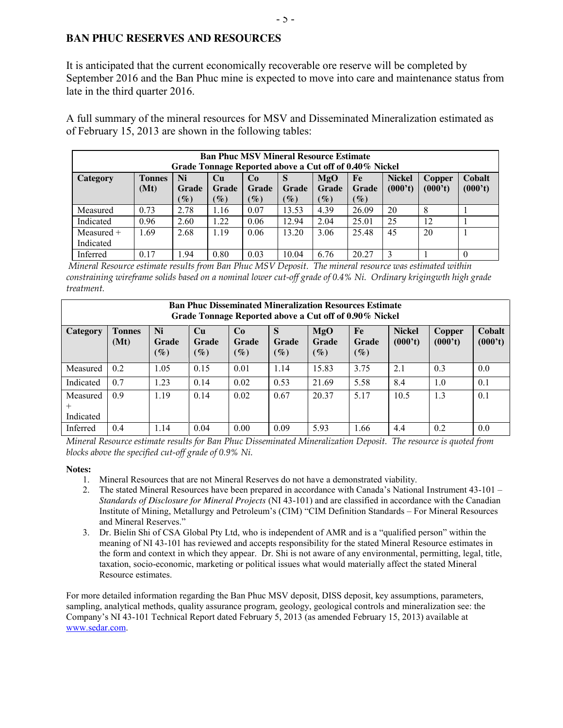### **BAN PHUC RESERVES AND RESOURCES**

It is anticipated that the current economically recoverable ore reserve will be completed by September 2016 and the Ban Phuc mine is expected to move into care and maintenance status from late in the third quarter 2016.

A full summary of the mineral resources for MSV and Disseminated Mineralization estimated as of February 15, 2013 are shown in the following tables:

| <b>Ban Phuc MSV Mineral Resource Estimate</b><br>Grade Tonnage Reported above a Cut off of 0.40% Nickel |                                                                                                                                                                                |      |        |                 |        |                 |        |    |                   |  |
|---------------------------------------------------------------------------------------------------------|--------------------------------------------------------------------------------------------------------------------------------------------------------------------------------|------|--------|-----------------|--------|-----------------|--------|----|-------------------|--|
| <b>Category</b>                                                                                         | Ni<br><b>Tonnes</b><br><b>Nickel</b><br>MgO<br>Cu<br>Co<br>Fe<br><b>Copper</b><br>S<br>(000't)<br>(000't)<br>(Mt)<br><b>Grade</b><br>Grade<br>Grade<br>Grade<br>Grade<br>Grade |      |        |                 |        |                 |        |    | Cobalt<br>(000't) |  |
|                                                                                                         |                                                                                                                                                                                | $\%$ | $(\%)$ | $\mathscr{G}_o$ | $(\%)$ | $\mathscr{O}_0$ | $(\%)$ |    |                   |  |
| Measured                                                                                                | 0.73                                                                                                                                                                           | 2.78 | 1.16   | 0.07            | 13.53  | 4.39            | 26.09  | 20 | 8                 |  |
| Indicated                                                                                               | 0.96                                                                                                                                                                           | 2.60 | 1.22   | 0.06            | 12.94  | 2.04            | 25.01  | 25 | 12                |  |
| Measured $+$                                                                                            | 1.69                                                                                                                                                                           | 2.68 | 1.19   | 0.06            | 13.20  | 3.06            | 25.48  | 45 | 20                |  |
| Indicated                                                                                               |                                                                                                                                                                                |      |        |                 |        |                 |        |    |                   |  |
| Inferred                                                                                                | 0.17                                                                                                                                                                           | 1.94 | 0.80   | 0.03            | 10.04  | 6.76            | 20.27  |    |                   |  |

*Mineral Resource estimate results from Ban Phuc MSV Deposit. The mineral resource was estimated within constraining wireframe solids based on a nominal lower cut-off grade of 0.4% Ni. Ordinary krigingwth high grade treatment.*

| <b>Ban Phuc Disseminated Mineralization Resources Estimate</b><br>Grade Tonnage Reported above a Cut off of 0.90% Nickel |                       |                       |                              |                       |                      |                               |                       |                          |                          |                   |
|--------------------------------------------------------------------------------------------------------------------------|-----------------------|-----------------------|------------------------------|-----------------------|----------------------|-------------------------------|-----------------------|--------------------------|--------------------------|-------------------|
| <b>Category</b>                                                                                                          | <b>Tonnes</b><br>(Mt) | Ni<br>Grade<br>$(\%)$ | Cu<br><b>Grade</b><br>$(\%)$ | Co<br>Grade<br>$(\%)$ | S<br>Grade<br>$(\%)$ | MgO<br><b>Grade</b><br>$(\%)$ | Fe<br>Grade<br>$(\%)$ | <b>Nickel</b><br>(000't) | <b>Copper</b><br>(000't) | Cobalt<br>(000't) |
| Measured                                                                                                                 | 0.2                   | 1.05                  | 0.15                         | 0.01                  | 1.14                 | 15.83                         | 3.75                  | 2.1                      | 0.3                      | 0.0               |
| Indicated                                                                                                                | 0.7                   | 1.23                  | 0.14                         | 0.02                  | 0.53                 | 21.69                         | 5.58                  | 8.4                      | 1.0                      | 0.1               |
| Measured<br>Indicated                                                                                                    | 0.9                   | 1.19                  | 0.14                         | 0.02                  | 0.67                 | 20.37                         | 5.17                  | 10.5                     | 1.3                      | 0.1               |
| Inferred                                                                                                                 | 0.4                   | 1.14                  | 0.04                         | 0.00                  | 0.09                 | 5.93                          | 1.66                  | 4.4                      | 0.2                      | 0.0               |

*Mineral Resource estimate results for Ban Phuc Disseminated Mineralization Deposit. The resource is quoted from blocks above the specified cut-off grade of 0.9% Ni.*

#### **Notes:**

- 1. Mineral Resources that are not Mineral Reserves do not have a demonstrated viability.
- 2. The stated Mineral Resources have been prepared in accordance with Canada's National Instrument 43-101 *Standards of Disclosure for Mineral Projects* (NI 43-101) and are classified in accordance with the Canadian Institute of Mining, Metallurgy and Petroleum's (CIM) "CIM Definition Standards – For Mineral Resources and Mineral Reserves."
- 3. Dr. Bielin Shi of CSA Global Pty Ltd, who is independent of AMR and is a "qualified person" within the meaning of NI 43-101 has reviewed and accepts responsibility for the stated Mineral Resource estimates in the form and context in which they appear. Dr. Shi is not aware of any environmental, permitting, legal, title, taxation, socio-economic, marketing or political issues what would materially affect the stated Mineral Resource estimates.

For more detailed information regarding the Ban Phuc MSV deposit, DISS deposit, key assumptions, parameters, sampling, analytical methods, quality assurance program, geology, geological controls and mineralization see: the Company's NI 43-101 Technical Report dated February 5, 2013 (as amended February 15, 2013) available at [www.sedar.com.](http://www.sedar.com/)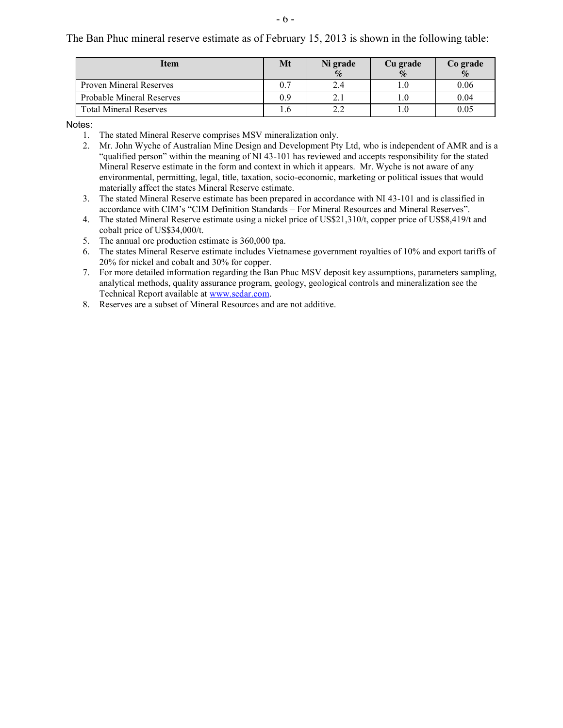- 6 -

The Ban Phuc mineral reserve estimate as of February 15, 2013 is shown in the following table:

| <b>Item</b>                      | Mt | Ni grade | Cu grade | Co grade |
|----------------------------------|----|----------|----------|----------|
|                                  |    | $\%$     | $\%$     | $\%$     |
| <b>Proven Mineral Reserves</b>   |    | 2.4      | l .l     | 0.06     |
| <b>Probable Mineral Reserves</b> |    |          |          | 0.04     |
| <b>Total Mineral Reserves</b>    |    |          |          | 0.05     |

Notes:

- 1. The stated Mineral Reserve comprises MSV mineralization only.
- 2. Mr. John Wyche of Australian Mine Design and Development Pty Ltd, who is independent of AMR and is a "qualified person" within the meaning of NI 43-101 has reviewed and accepts responsibility for the stated Mineral Reserve estimate in the form and context in which it appears. Mr. Wyche is not aware of any environmental, permitting, legal, title, taxation, socio-economic, marketing or political issues that would materially affect the states Mineral Reserve estimate.
- 3. The stated Mineral Reserve estimate has been prepared in accordance with NI 43-101 and is classified in accordance with CIM's "CIM Definition Standards – For Mineral Resources and Mineral Reserves".
- 4. The stated Mineral Reserve estimate using a nickel price of US\$21,310/t, copper price of US\$8,419/t and cobalt price of US\$34,000/t.
- 5. The annual ore production estimate is 360,000 tpa.
- 6. The states Mineral Reserve estimate includes Vietnamese government royalties of 10% and export tariffs of 20% for nickel and cobalt and 30% for copper.
- 7. For more detailed information regarding the Ban Phuc MSV deposit key assumptions, parameters sampling, analytical methods, quality assurance program, geology, geological controls and mineralization see the Technical Report available at [www.sedar.com.](http://www.sedar.com/)
- 8. Reserves are a subset of Mineral Resources and are not additive.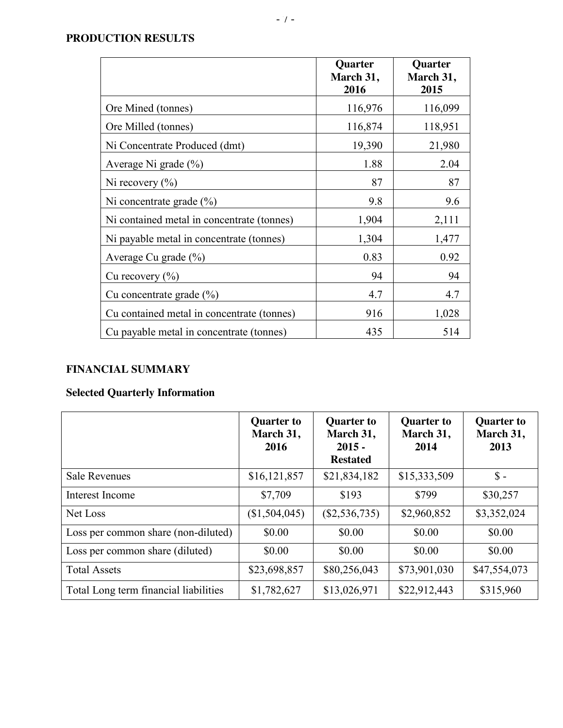# **PRODUCTION RESULTS**

|                                            | <b>Quarter</b><br>March 31,<br>2016 | <b>Quarter</b><br>March 31,<br>2015 |
|--------------------------------------------|-------------------------------------|-------------------------------------|
| Ore Mined (tonnes)                         | 116,976                             | 116,099                             |
| Ore Milled (tonnes)                        | 116,874                             | 118,951                             |
| Ni Concentrate Produced (dmt)              | 19,390                              | 21,980                              |
| Average Ni grade $(\% )$                   | 1.88                                | 2.04                                |
| Ni recovery $(\% )$                        | 87                                  | 87                                  |
| Ni concentrate grade $(\% )$               | 9.8                                 | 9.6                                 |
| Ni contained metal in concentrate (tonnes) | 1,904                               | 2,111                               |
| Ni payable metal in concentrate (tonnes)   | 1,304                               | 1,477                               |
| Average Cu grade $(\% )$                   | 0.83                                | 0.92                                |
| Cu recovery $(\% )$                        | 94                                  | 94                                  |
| Cu concentrate grade $(\% )$               | 4.7                                 | 4.7                                 |
| Cu contained metal in concentrate (tonnes) | 916                                 | 1,028                               |
| Cu payable metal in concentrate (tonnes)   | 435                                 | 514                                 |

# **FINANCIAL SUMMARY**

# **Selected Quarterly Information**

|                                       | <b>Quarter to</b><br>March 31,<br>2016 | <b>Quarter to</b><br>March 31,<br>$2015 -$<br><b>Restated</b> | <b>Quarter to</b><br>March 31,<br>2014 | <b>Quarter to</b><br>March 31,<br>2013 |
|---------------------------------------|----------------------------------------|---------------------------------------------------------------|----------------------------------------|----------------------------------------|
| <b>Sale Revenues</b>                  | \$16,121,857                           | \$21,834,182                                                  | \$15,333,509                           | $\mathsf{\$}$ -                        |
| Interest Income                       | \$7,709                                | \$193                                                         | \$799                                  | \$30,257                               |
| Net Loss                              | (\$1,504,045)                          | $(\$2,536,735)$                                               | \$2,960,852                            | \$3,352,024                            |
| Loss per common share (non-diluted)   | \$0.00                                 | \$0.00                                                        | \$0.00                                 | \$0.00                                 |
| Loss per common share (diluted)       | \$0.00                                 | \$0.00                                                        | \$0.00                                 | \$0.00                                 |
| <b>Total Assets</b>                   | \$23,698,857                           | \$80,256,043                                                  | \$73,901,030                           | \$47,554,073                           |
| Total Long term financial liabilities | \$1,782,627                            | \$13,026,971                                                  | \$22,912,443                           | \$315,960                              |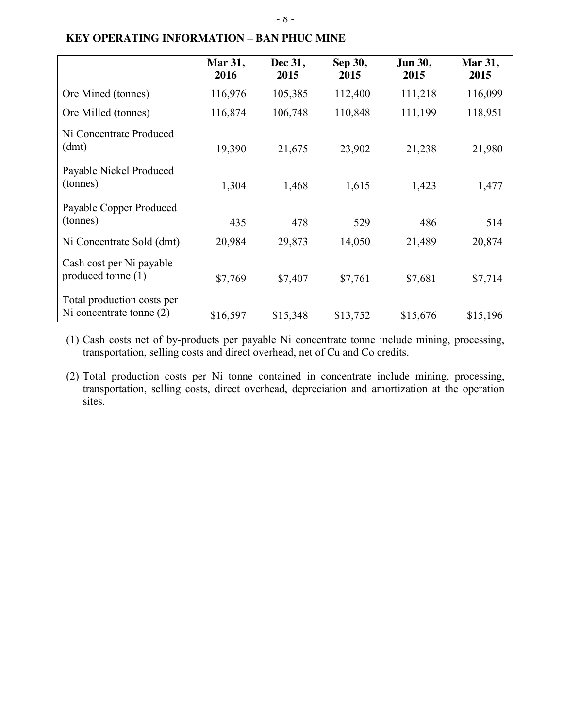|                                                          | <b>Mar 31,</b><br>2016 | Dec 31,<br>2015 | Sep 30,<br>2015 | <b>Jun 30,</b><br>2015 | Mar 31,<br>2015 |
|----------------------------------------------------------|------------------------|-----------------|-----------------|------------------------|-----------------|
| Ore Mined (tonnes)                                       | 116,976                | 105,385         | 112,400         | 111,218                | 116,099         |
| Ore Milled (tonnes)                                      | 116,874                | 106,748         | 110,848         | 111,199                | 118,951         |
| Ni Concentrate Produced<br>(dmt)                         | 19,390                 | 21,675          | 23,902          | 21,238                 | 21,980          |
| Payable Nickel Produced<br>(tonnes)                      | 1,304                  | 1,468           | 1,615           | 1,423                  | 1,477           |
| Payable Copper Produced<br>(tonnes)                      | 435                    | 478             | 529             | 486                    | 514             |
| Ni Concentrate Sold (dmt)                                | 20,984                 | 29,873          | 14,050          | 21,489                 | 20,874          |
| Cash cost per Ni payable<br>produced tonne (1)           | \$7,769                | \$7,407         | \$7,761         | \$7,681                | \$7,714         |
| Total production costs per<br>Ni concentrate tonne $(2)$ | \$16,597               | \$15,348        | \$13,752        | \$15,676               | \$15,196        |

### **KEY OPERATING INFORMATION – BAN PHUC MINE**

(1) Cash costs net of by-products per payable Ni concentrate tonne include mining, processing, transportation, selling costs and direct overhead, net of Cu and Co credits.

(2) Total production costs per Ni tonne contained in concentrate include mining, processing, transportation, selling costs, direct overhead, depreciation and amortization at the operation sites.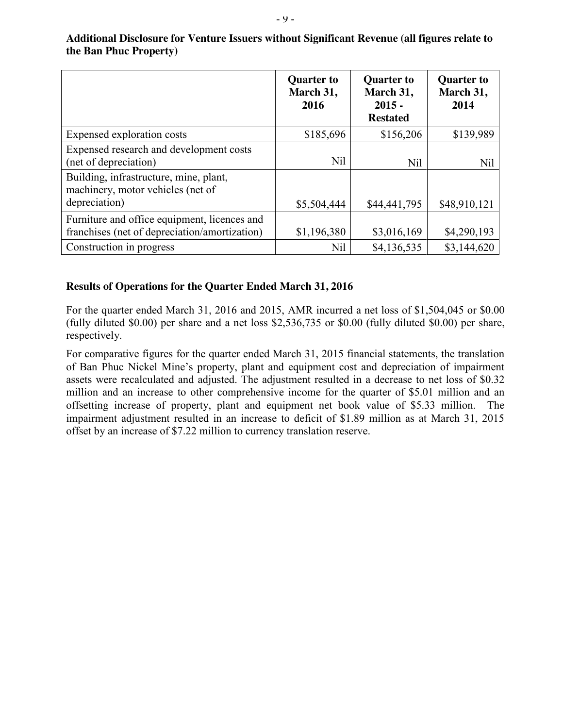|                                                                                               | <b>Quarter to</b><br>March 31,<br>2016 | <b>Quarter to</b><br>March 31,<br>$2015 -$<br><b>Restated</b> | <b>Quarter to</b><br>March 31,<br>2014 |
|-----------------------------------------------------------------------------------------------|----------------------------------------|---------------------------------------------------------------|----------------------------------------|
| Expensed exploration costs                                                                    | \$185,696                              | \$156,206                                                     | \$139,989                              |
| Expensed research and development costs<br>(net of depreciation)                              | <b>Nil</b>                             | Nil                                                           | Nil                                    |
| Building, infrastructure, mine, plant,<br>machinery, motor vehicles (net of                   |                                        |                                                               |                                        |
| depreciation)                                                                                 | \$5,504,444                            | \$44,441,795                                                  | \$48,910,121                           |
| Furniture and office equipment, licences and<br>franchises (net of depreciation/amortization) | \$1,196,380                            | \$3,016,169                                                   | \$4,290,193                            |
| Construction in progress                                                                      | Nil                                    | \$4,136,535                                                   | \$3,144,620                            |

**Additional Disclosure for Venture Issuers without Significant Revenue (all figures relate to the Ban Phuc Property)**

#### **Results of Operations for the Quarter Ended March 31, 2016**

For the quarter ended March 31, 2016 and 2015, AMR incurred a net loss of \$1,504,045 or \$0.00 (fully diluted \$0.00) per share and a net loss \$2,536,735 or \$0.00 (fully diluted \$0.00) per share, respectively.

For comparative figures for the quarter ended March 31, 2015 financial statements, the translation of Ban Phuc Nickel Mine's property, plant and equipment cost and depreciation of impairment assets were recalculated and adjusted. The adjustment resulted in a decrease to net loss of \$0.32 million and an increase to other comprehensive income for the quarter of \$5.01 million and an offsetting increase of property, plant and equipment net book value of \$5.33 million. The impairment adjustment resulted in an increase to deficit of \$1.89 million as at March 31, 2015 offset by an increase of \$7.22 million to currency translation reserve.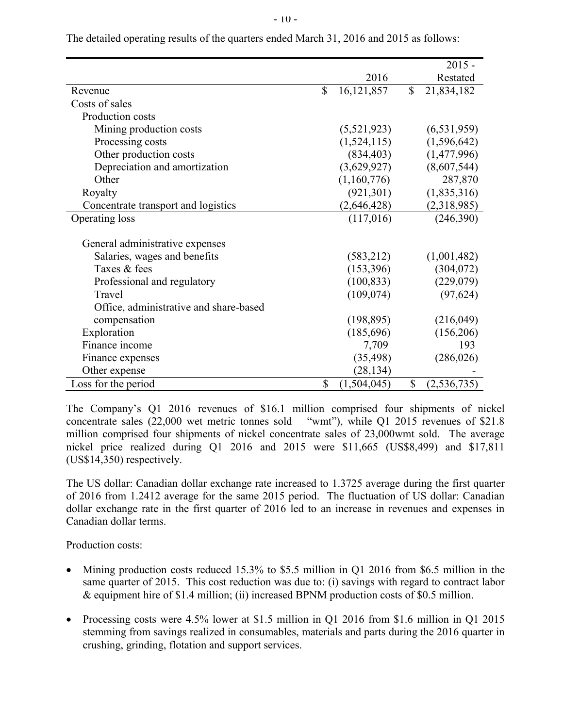|                                        |                    |              | $2015 -$      |
|----------------------------------------|--------------------|--------------|---------------|
|                                        | 2016               |              | Restated      |
| Revenue                                | \$<br>16, 121, 857 | $\mathbb{S}$ | 21,834,182    |
| Costs of sales                         |                    |              |               |
| Production costs                       |                    |              |               |
| Mining production costs                | (5, 521, 923)      |              | (6, 531, 959) |
| Processing costs                       | (1,524,115)        |              | (1,596,642)   |
| Other production costs                 | (834, 403)         |              | (1,477,996)   |
| Depreciation and amortization          | (3,629,927)        |              | (8,607,544)   |
| Other                                  | (1,160,776)        |              | 287,870       |
| Royalty                                | (921, 301)         |              | (1,835,316)   |
| Concentrate transport and logistics    | (2,646,428)        |              | (2,318,985)   |
| Operating loss                         | (117,016)          |              | (246,390)     |
|                                        |                    |              |               |
| General administrative expenses        |                    |              |               |
| Salaries, wages and benefits           | (583,212)          |              | (1,001,482)   |
| Taxes & fees                           | (153,396)          |              | (304, 072)    |
| Professional and regulatory            | (100, 833)         |              | (229,079)     |
| Travel                                 | (109, 074)         |              | (97, 624)     |
| Office, administrative and share-based |                    |              |               |
| compensation                           | (198, 895)         |              | (216, 049)    |
| Exploration                            | (185, 696)         |              | (156,206)     |
| Finance income                         | 7,709              |              | 193           |
| Finance expenses                       | (35, 498)          |              | (286, 026)    |
| Other expense                          | (28, 134)          |              |               |
| Loss for the period                    | \$<br>(1,504,045)  | \$           | (2, 536, 735) |

The detailed operating results of the quarters ended March 31, 2016 and 2015 as follows:

The Company's Q1 2016 revenues of \$16.1 million comprised four shipments of nickel concentrate sales  $(22,000 \text{ wet metric tonnes sold} - \text{``wmt''}),$  while Q1 2015 revenues of \$21.8 million comprised four shipments of nickel concentrate sales of 23,000wmt sold. The average nickel price realized during Q1 2016 and 2015 were \$11,665 (US\$8,499) and \$17,811 (US\$14,350) respectively.

The US dollar: Canadian dollar exchange rate increased to 1.3725 average during the first quarter of 2016 from 1.2412 average for the same 2015 period. The fluctuation of US dollar: Canadian dollar exchange rate in the first quarter of 2016 led to an increase in revenues and expenses in Canadian dollar terms.

Production costs:

- Mining production costs reduced 15.3% to \$5.5 million in O1 2016 from \$6.5 million in the same quarter of 2015. This cost reduction was due to: (i) savings with regard to contract labor & equipment hire of \$1.4 million; (ii) increased BPNM production costs of \$0.5 million.
- Processing costs were  $4.5\%$  lower at \$1.5 million in Q1 2016 from \$1.6 million in Q1 2015 stemming from savings realized in consumables, materials and parts during the 2016 quarter in crushing, grinding, flotation and support services.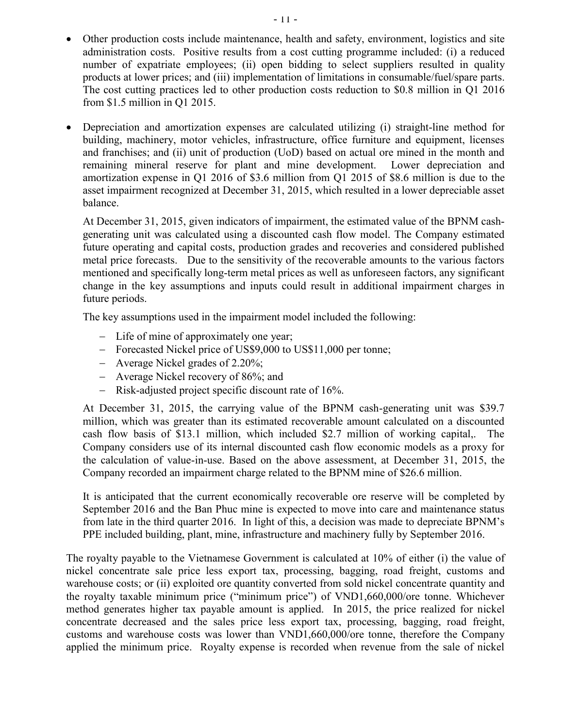- Other production costs include maintenance, health and safety, environment, logistics and site administration costs. Positive results from a cost cutting programme included: (i) a reduced number of expatriate employees; (ii) open bidding to select suppliers resulted in quality products at lower prices; and (iii) implementation of limitations in consumable/fuel/spare parts. The cost cutting practices led to other production costs reduction to \$0.8 million in Q1 2016 from \$1.5 million in Q1 2015.
- Depreciation and amortization expenses are calculated utilizing (i) straight-line method for building, machinery, motor vehicles, infrastructure, office furniture and equipment, licenses and franchises; and (ii) unit of production (UoD) based on actual ore mined in the month and remaining mineral reserve for plant and mine development. Lower depreciation and amortization expense in Q1 2016 of \$3.6 million from Q1 2015 of \$8.6 million is due to the asset impairment recognized at December 31, 2015, which resulted in a lower depreciable asset balance.

At December 31, 2015, given indicators of impairment, the estimated value of the BPNM cashgenerating unit was calculated using a discounted cash flow model. The Company estimated future operating and capital costs, production grades and recoveries and considered published metal price forecasts. Due to the sensitivity of the recoverable amounts to the various factors mentioned and specifically long-term metal prices as well as unforeseen factors, any significant change in the key assumptions and inputs could result in additional impairment charges in future periods.

The key assumptions used in the impairment model included the following:

- Life of mine of approximately one year;
- Forecasted Nickel price of US\$9,000 to US\$11,000 per tonne:
- Average Nickel grades of 2.20%;
- Average Nickel recovery of 86%; and
- Risk-adjusted project specific discount rate of 16%.

At December 31, 2015, the carrying value of the BPNM cash-generating unit was \$39.7 million, which was greater than its estimated recoverable amount calculated on a discounted cash flow basis of \$13.1 million, which included \$2.7 million of working capital,. The Company considers use of its internal discounted cash flow economic models as a proxy for the calculation of value-in-use. Based on the above assessment, at December 31, 2015, the Company recorded an impairment charge related to the BPNM mine of \$26.6 million.

It is anticipated that the current economically recoverable ore reserve will be completed by September 2016 and the Ban Phuc mine is expected to move into care and maintenance status from late in the third quarter 2016. In light of this, a decision was made to depreciate BPNM's PPE included building, plant, mine, infrastructure and machinery fully by September 2016.

The royalty payable to the Vietnamese Government is calculated at 10% of either (i) the value of nickel concentrate sale price less export tax, processing, bagging, road freight, customs and warehouse costs; or (ii) exploited ore quantity converted from sold nickel concentrate quantity and the royalty taxable minimum price ("minimum price") of VND1,660,000/ore tonne. Whichever method generates higher tax payable amount is applied. In 2015, the price realized for nickel concentrate decreased and the sales price less export tax, processing, bagging, road freight, customs and warehouse costs was lower than VND1,660,000/ore tonne, therefore the Company applied the minimum price. Royalty expense is recorded when revenue from the sale of nickel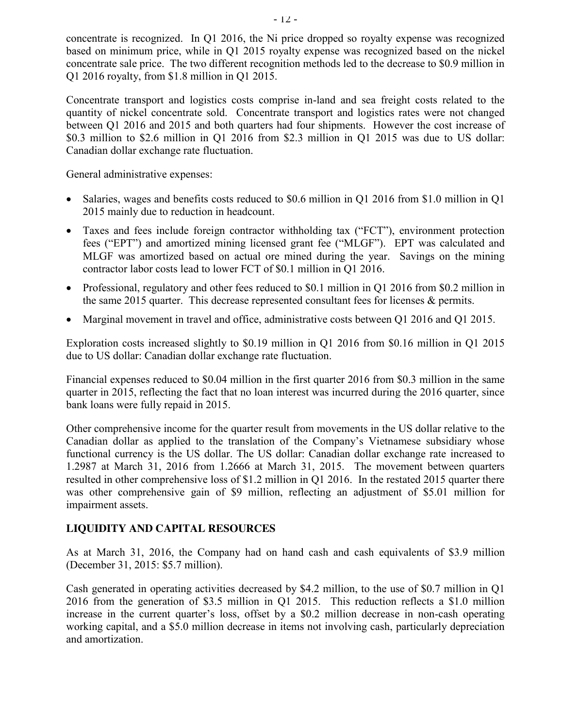concentrate is recognized. In Q1 2016, the Ni price dropped so royalty expense was recognized based on minimum price, while in Q1 2015 royalty expense was recognized based on the nickel concentrate sale price. The two different recognition methods led to the decrease to \$0.9 million in Q1 2016 royalty, from \$1.8 million in Q1 2015.

Concentrate transport and logistics costs comprise in-land and sea freight costs related to the quantity of nickel concentrate sold. Concentrate transport and logistics rates were not changed between Q1 2016 and 2015 and both quarters had four shipments. However the cost increase of \$0.3 million to \$2.6 million in Q1 2016 from \$2.3 million in Q1 2015 was due to US dollar: Canadian dollar exchange rate fluctuation.

General administrative expenses:

- Salaries, wages and benefits costs reduced to \$0.6 million in Q1 2016 from \$1.0 million in Q1 2015 mainly due to reduction in headcount.
- Taxes and fees include foreign contractor withholding tax ("FCT"), environment protection fees ("EPT") and amortized mining licensed grant fee ("MLGF"). EPT was calculated and MLGF was amortized based on actual ore mined during the year. Savings on the mining contractor labor costs lead to lower FCT of \$0.1 million in Q1 2016.
- Professional, regulatory and other fees reduced to \$0.1 million in Q1 2016 from \$0.2 million in the same 2015 quarter. This decrease represented consultant fees for licenses & permits.
- Marginal movement in travel and office, administrative costs between Q1 2016 and Q1 2015.

Exploration costs increased slightly to \$0.19 million in Q1 2016 from \$0.16 million in Q1 2015 due to US dollar: Canadian dollar exchange rate fluctuation.

Financial expenses reduced to \$0.04 million in the first quarter 2016 from \$0.3 million in the same quarter in 2015, reflecting the fact that no loan interest was incurred during the 2016 quarter, since bank loans were fully repaid in 2015.

Other comprehensive income for the quarter result from movements in the US dollar relative to the Canadian dollar as applied to the translation of the Company's Vietnamese subsidiary whose functional currency is the US dollar. The US dollar: Canadian dollar exchange rate increased to 1.2987 at March 31, 2016 from 1.2666 at March 31, 2015. The movement between quarters resulted in other comprehensive loss of \$1.2 million in Q1 2016. In the restated 2015 quarter there was other comprehensive gain of \$9 million, reflecting an adjustment of \$5.01 million for impairment assets.

# **LIQUIDITY AND CAPITAL RESOURCES**

As at March 31, 2016, the Company had on hand cash and cash equivalents of \$3.9 million (December 31, 2015: \$5.7 million).

Cash generated in operating activities decreased by \$4.2 million, to the use of \$0.7 million in Q1 2016 from the generation of \$3.5 million in Q1 2015. This reduction reflects a \$1.0 million increase in the current quarter's loss, offset by a \$0.2 million decrease in non-cash operating working capital, and a \$5.0 million decrease in items not involving cash, particularly depreciation and amortization.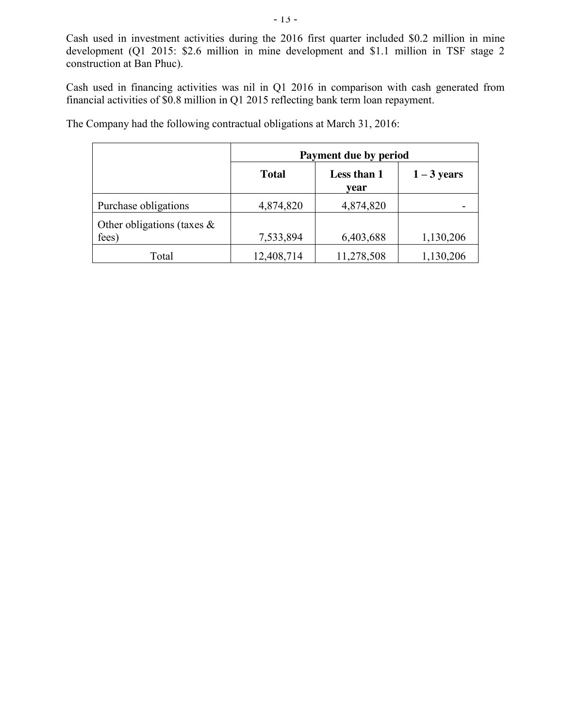Cash used in investment activities during the 2016 first quarter included \$0.2 million in mine development (Q1 2015: \$2.6 million in mine development and \$1.1 million in TSF stage 2 construction at Ban Phuc).

Cash used in financing activities was nil in Q1 2016 in comparison with cash generated from financial activities of \$0.8 million in Q1 2015 reflecting bank term loan repayment.

|                                        | Payment due by period |                     |               |  |  |  |
|----------------------------------------|-----------------------|---------------------|---------------|--|--|--|
|                                        | <b>Total</b>          | Less than 1<br>vear | $1 - 3$ years |  |  |  |
| Purchase obligations                   | 4,874,820             | 4,874,820           |               |  |  |  |
| Other obligations (taxes $\&$<br>fees) | 7,533,894             | 6,403,688           | 1,130,206     |  |  |  |
| Total                                  | 12,408,714            | 11,278,508          | 1,130,206     |  |  |  |

The Company had the following contractual obligations at March 31, 2016: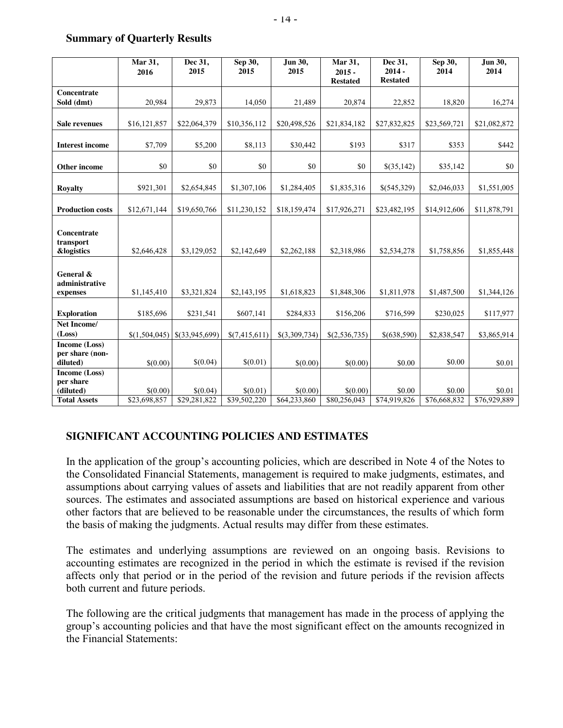|                         | Mar 31,<br>2016 | Dec 31,<br>2015  | Sep 30,<br>2015 | Jun 30,<br>2015 | Mar 31,<br>$2015 -$ | Dec 31,<br>$2014 -$ | Sep 30,<br>2014 | Jun 30,<br>2014 |
|-------------------------|-----------------|------------------|-----------------|-----------------|---------------------|---------------------|-----------------|-----------------|
|                         |                 |                  |                 |                 | <b>Restated</b>     | <b>Restated</b>     |                 |                 |
| Concentrate             |                 |                  |                 |                 |                     |                     |                 |                 |
| Sold (dmt)              | 20,984          | 29,873           | 14,050          | 21,489          | 20,874              | 22,852              | 18,820          | 16,274          |
|                         |                 |                  |                 |                 |                     |                     |                 |                 |
| <b>Sale revenues</b>    | \$16,121,857    | \$22,064,379     | \$10,356,112    | \$20,498,526    | \$21,834,182        | \$27,832,825        | \$23,569,721    | \$21,082,872    |
| <b>Interest income</b>  | \$7,709         | \$5,200          | \$8,113         | \$30,442        | \$193               | \$317               | \$353           | \$442           |
|                         |                 |                  |                 |                 |                     |                     |                 |                 |
| <b>Other income</b>     | \$0             | \$0              | \$0             | \$0             | \$0                 | \$(35,142)          | \$35,142        | \$0             |
| <b>Royalty</b>          | \$921,301       | \$2,654,845      | \$1,307,106     | \$1,284,405     | \$1,835,316         | \$(545,329)         | \$2,046,033     | \$1,551,005     |
|                         |                 |                  |                 |                 |                     |                     |                 |                 |
| <b>Production costs</b> | \$12,671,144    | \$19,650,766     | \$11,230,152    | \$18,159,474    | \$17,926,271        | \$23,482,195        | \$14,912,606    | \$11,878,791    |
|                         |                 |                  |                 |                 |                     |                     |                 |                 |
| Concentrate             |                 |                  |                 |                 |                     |                     |                 |                 |
| transport               |                 |                  |                 |                 |                     |                     |                 |                 |
| <b>&amp;logistics</b>   | \$2,646,428     | \$3,129,052      | \$2,142,649     | \$2,262,188     | \$2,318,986         | \$2,534,278         | \$1,758,856     | \$1,855,448     |
|                         |                 |                  |                 |                 |                     |                     |                 |                 |
| General &               |                 |                  |                 |                 |                     |                     |                 |                 |
| administrative          |                 |                  |                 |                 |                     |                     |                 |                 |
| expenses                | \$1,145,410     | \$3,321,824      | \$2,143,195     | \$1,618,823     | \$1,848,306         | \$1,811,978         | \$1,487,500     | \$1,344,126     |
|                         |                 |                  |                 |                 |                     |                     |                 |                 |
| <b>Exploration</b>      | \$185,696       | \$231,541        | \$607,141       | \$284,833       | \$156,206           | \$716,599           | \$230,025       | \$117,977       |
| Net Income/             |                 |                  |                 |                 |                     |                     |                 |                 |
| (Loss)                  | \$(1,504,045)   | $$$ (33,945,699) | \$(7,415,611)   | \$(3,309,734)   | \$(2,536,735)       | \$(638,590)         | \$2,838,547     | \$3,865,914     |
| Income (Loss)           |                 |                  |                 |                 |                     |                     |                 |                 |
| per share (non-         |                 |                  |                 |                 |                     |                     |                 |                 |
| diluted)                | \$(0.00)        | \$(0.04)         | \$(0.01)        | \$(0.00)        | \$(0.00)            | \$0.00              | \$0.00          | \$0.01          |
| Income (Loss)           |                 |                  |                 |                 |                     |                     |                 |                 |
| per share               |                 |                  |                 |                 |                     |                     |                 |                 |
| (diluted)               | \$(0.00)        | \$(0.04)         | \$(0.01)        | \$(0.00)        | \$(0.00)            | \$0.00              | \$0.00          | \$0.01          |
| <b>Total Assets</b>     | \$23,698,857    | \$29,281,822     | \$39,502,220    | \$64,233,860    | \$80,256,043        | \$74,919,826        | \$76,668,832    | \$76,929,889    |

#### **Summary of Quarterly Results**

#### **SIGNIFICANT ACCOUNTING POLICIES AND ESTIMATES**

In the application of the group's accounting policies, which are described in Note 4 of the Notes to the Consolidated Financial Statements, management is required to make judgments, estimates, and assumptions about carrying values of assets and liabilities that are not readily apparent from other sources. The estimates and associated assumptions are based on historical experience and various other factors that are believed to be reasonable under the circumstances, the results of which form the basis of making the judgments. Actual results may differ from these estimates.

The estimates and underlying assumptions are reviewed on an ongoing basis. Revisions to accounting estimates are recognized in the period in which the estimate is revised if the revision affects only that period or in the period of the revision and future periods if the revision affects both current and future periods.

The following are the critical judgments that management has made in the process of applying the group's accounting policies and that have the most significant effect on the amounts recognized in the Financial Statements: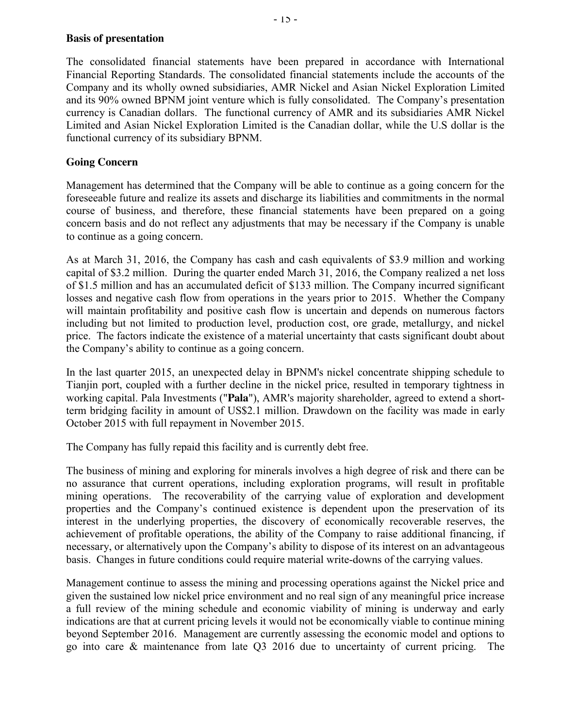### **Basis of presentation**

The consolidated financial statements have been prepared in accordance with International Financial Reporting Standards. The consolidated financial statements include the accounts of the Company and its wholly owned subsidiaries, AMR Nickel and Asian Nickel Exploration Limited and its 90% owned BPNM joint venture which is fully consolidated. The Company's presentation currency is Canadian dollars. The functional currency of AMR and its subsidiaries AMR Nickel Limited and Asian Nickel Exploration Limited is the Canadian dollar, while the U.S dollar is the functional currency of its subsidiary BPNM.

### **Going Concern**

Management has determined that the Company will be able to continue as a going concern for the foreseeable future and realize its assets and discharge its liabilities and commitments in the normal course of business, and therefore, these financial statements have been prepared on a going concern basis and do not reflect any adjustments that may be necessary if the Company is unable to continue as a going concern.

As at March 31, 2016, the Company has cash and cash equivalents of \$3.9 million and working capital of \$3.2 million. During the quarter ended March 31, 2016, the Company realized a net loss of \$1.5 million and has an accumulated deficit of \$133 million. The Company incurred significant losses and negative cash flow from operations in the years prior to 2015. Whether the Company will maintain profitability and positive cash flow is uncertain and depends on numerous factors including but not limited to production level, production cost, ore grade, metallurgy, and nickel price. The factors indicate the existence of a material uncertainty that casts significant doubt about the Company's ability to continue as a going concern.

In the last quarter 2015, an unexpected delay in BPNM's nickel concentrate shipping schedule to Tianjin port, coupled with a further decline in the nickel price, resulted in temporary tightness in working capital. Pala Investments ("**Pala**"), AMR's majority shareholder, agreed to extend a shortterm bridging facility in amount of US\$2.1 million. Drawdown on the facility was made in early October 2015 with full repayment in November 2015.

The Company has fully repaid this facility and is currently debt free.

The business of mining and exploring for minerals involves a high degree of risk and there can be no assurance that current operations, including exploration programs, will result in profitable mining operations. The recoverability of the carrying value of exploration and development properties and the Company's continued existence is dependent upon the preservation of its interest in the underlying properties, the discovery of economically recoverable reserves, the achievement of profitable operations, the ability of the Company to raise additional financing, if necessary, or alternatively upon the Company's ability to dispose of its interest on an advantageous basis. Changes in future conditions could require material write-downs of the carrying values.

Management continue to assess the mining and processing operations against the Nickel price and given the sustained low nickel price environment and no real sign of any meaningful price increase a full review of the mining schedule and economic viability of mining is underway and early indications are that at current pricing levels it would not be economically viable to continue mining beyond September 2016. Management are currently assessing the economic model and options to go into care & maintenance from late Q3 2016 due to uncertainty of current pricing. The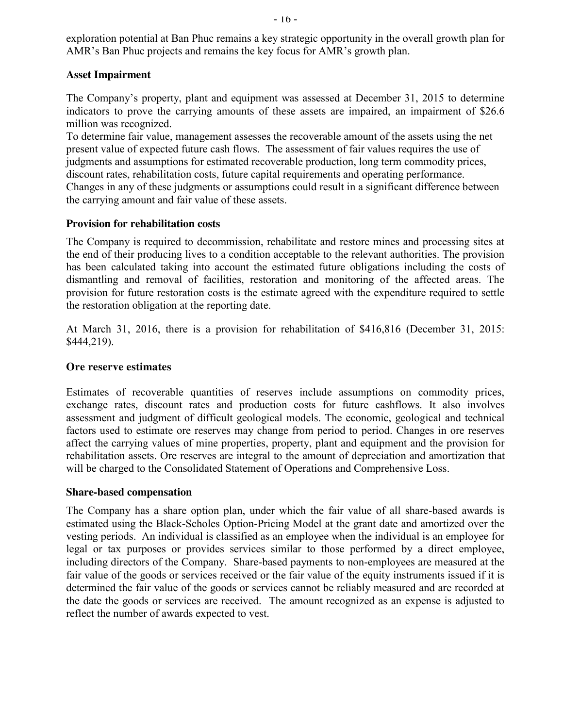exploration potential at Ban Phuc remains a key strategic opportunity in the overall growth plan for AMR's Ban Phuc projects and remains the key focus for AMR's growth plan.

### **Asset Impairment**

The Company's property, plant and equipment was assessed at December 31, 2015 to determine indicators to prove the carrying amounts of these assets are impaired, an impairment of \$26.6 million was recognized.

To determine fair value, management assesses the recoverable amount of the assets using the net present value of expected future cash flows. The assessment of fair values requires the use of judgments and assumptions for estimated recoverable production, long term commodity prices, discount rates, rehabilitation costs, future capital requirements and operating performance. Changes in any of these judgments or assumptions could result in a significant difference between the carrying amount and fair value of these assets.

#### **Provision for rehabilitation costs**

The Company is required to decommission, rehabilitate and restore mines and processing sites at the end of their producing lives to a condition acceptable to the relevant authorities. The provision has been calculated taking into account the estimated future obligations including the costs of dismantling and removal of facilities, restoration and monitoring of the affected areas. The provision for future restoration costs is the estimate agreed with the expenditure required to settle the restoration obligation at the reporting date.

At March 31, 2016, there is a provision for rehabilitation of \$416,816 (December 31, 2015: \$444,219).

### **Ore reserve estimates**

Estimates of recoverable quantities of reserves include assumptions on commodity prices, exchange rates, discount rates and production costs for future cashflows. It also involves assessment and judgment of difficult geological models. The economic, geological and technical factors used to estimate ore reserves may change from period to period. Changes in ore reserves affect the carrying values of mine properties, property, plant and equipment and the provision for rehabilitation assets. Ore reserves are integral to the amount of depreciation and amortization that will be charged to the Consolidated Statement of Operations and Comprehensive Loss.

### **Share-based compensation**

The Company has a share option plan, under which the fair value of all share-based awards is estimated using the Black-Scholes Option-Pricing Model at the grant date and amortized over the vesting periods. An individual is classified as an employee when the individual is an employee for legal or tax purposes or provides services similar to those performed by a direct employee, including directors of the Company. Share-based payments to non-employees are measured at the fair value of the goods or services received or the fair value of the equity instruments issued if it is determined the fair value of the goods or services cannot be reliably measured and are recorded at the date the goods or services are received. The amount recognized as an expense is adjusted to reflect the number of awards expected to vest.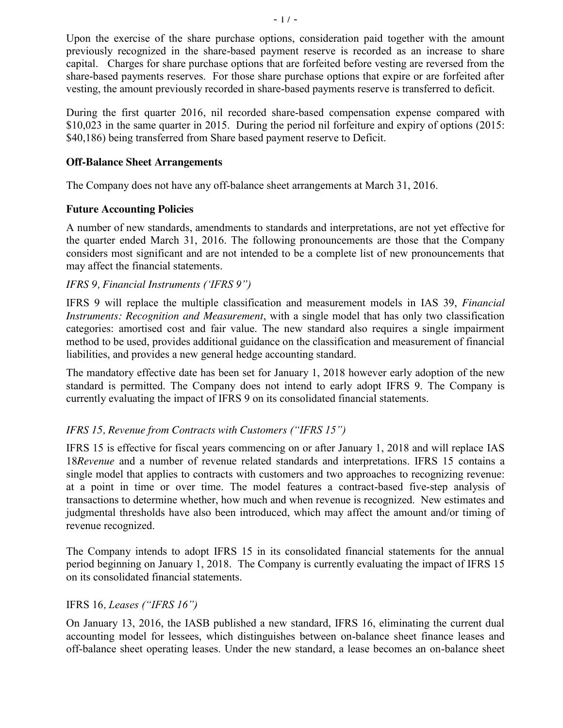Upon the exercise of the share purchase options, consideration paid together with the amount previously recognized in the share-based payment reserve is recorded as an increase to share capital. Charges for share purchase options that are forfeited before vesting are reversed from the share-based payments reserves. For those share purchase options that expire or are forfeited after vesting, the amount previously recorded in share-based payments reserve is transferred to deficit.

During the first quarter 2016, nil recorded share-based compensation expense compared with \$10,023 in the same quarter in 2015. During the period nil forfeiture and expiry of options (2015: \$40,186) being transferred from Share based payment reserve to Deficit.

### **Off-Balance Sheet Arrangements**

The Company does not have any off-balance sheet arrangements at March 31, 2016.

### **Future Accounting Policies**

A number of new standards, amendments to standards and interpretations, are not yet effective for the quarter ended March 31, 2016. The following pronouncements are those that the Company considers most significant and are not intended to be a complete list of new pronouncements that may affect the financial statements.

### *IFRS 9, Financial Instruments ('IFRS 9")*

IFRS 9 will replace the multiple classification and measurement models in IAS 39, *Financial Instruments: Recognition and Measurement*, with a single model that has only two classification categories: amortised cost and fair value. The new standard also requires a single impairment method to be used, provides additional guidance on the classification and measurement of financial liabilities, and provides a new general hedge accounting standard.

The mandatory effective date has been set for January 1, 2018 however early adoption of the new standard is permitted. The Company does not intend to early adopt IFRS 9. The Company is currently evaluating the impact of IFRS 9 on its consolidated financial statements.

### *IFRS 15, Revenue from Contracts with Customers ("IFRS 15")*

IFRS 15 is effective for fiscal years commencing on or after January 1, 2018 and will replace IAS 18*Revenue* and a number of revenue related standards and interpretations. IFRS 15 contains a single model that applies to contracts with customers and two approaches to recognizing revenue: at a point in time or over time. The model features a contract-based five-step analysis of transactions to determine whether, how much and when revenue is recognized. New estimates and judgmental thresholds have also been introduced, which may affect the amount and/or timing of revenue recognized.

The Company intends to adopt IFRS 15 in its consolidated financial statements for the annual period beginning on January 1, 2018. The Company is currently evaluating the impact of IFRS 15 on its consolidated financial statements.

### IFRS 16*, Leases ("IFRS 16")*

On January 13, 2016, the IASB published a new standard, IFRS 16, eliminating the current dual accounting model for lessees, which distinguishes between on-balance sheet finance leases and off-balance sheet operating leases. Under the new standard, a lease becomes an on-balance sheet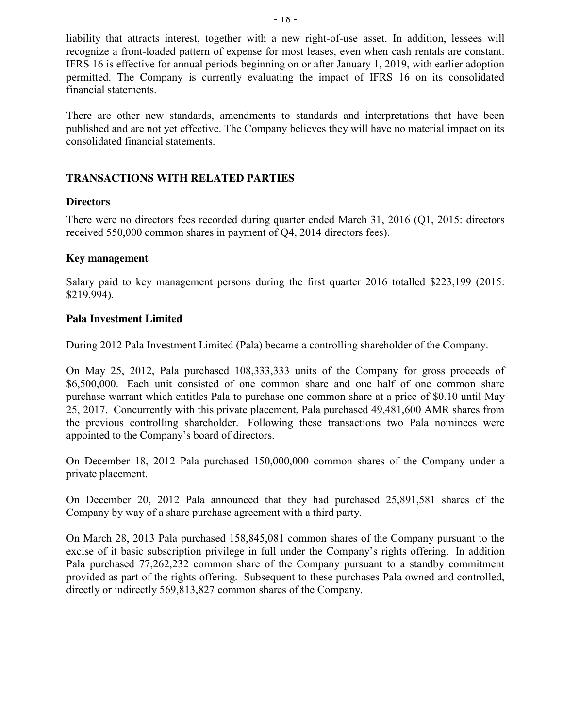liability that attracts interest, together with a new right-of-use asset. In addition, lessees will recognize a front-loaded pattern of expense for most leases, even when cash rentals are constant. IFRS 16 is effective for annual periods beginning on or after January 1, 2019, with earlier adoption permitted. The Company is currently evaluating the impact of IFRS 16 on its consolidated financial statements.

There are other new standards, amendments to standards and interpretations that have been published and are not yet effective. The Company believes they will have no material impact on its consolidated financial statements.

### **TRANSACTIONS WITH RELATED PARTIES**

### **Directors**

There were no directors fees recorded during quarter ended March 31, 2016 (Q1, 2015: directors received 550,000 common shares in payment of Q4, 2014 directors fees).

#### **Key management**

Salary paid to key management persons during the first quarter 2016 totalled \$223,199 (2015: \$219,994).

### **Pala Investment Limited**

During 2012 Pala Investment Limited (Pala) became a controlling shareholder of the Company.

On May 25, 2012, Pala purchased 108,333,333 units of the Company for gross proceeds of \$6,500,000. Each unit consisted of one common share and one half of one common share purchase warrant which entitles Pala to purchase one common share at a price of \$0.10 until May 25, 2017. Concurrently with this private placement, Pala purchased 49,481,600 AMR shares from the previous controlling shareholder. Following these transactions two Pala nominees were appointed to the Company's board of directors.

On December 18, 2012 Pala purchased 150,000,000 common shares of the Company under a private placement.

On December 20, 2012 Pala announced that they had purchased 25,891,581 shares of the Company by way of a share purchase agreement with a third party.

On March 28, 2013 Pala purchased 158,845,081 common shares of the Company pursuant to the excise of it basic subscription privilege in full under the Company's rights offering. In addition Pala purchased 77,262,232 common share of the Company pursuant to a standby commitment provided as part of the rights offering. Subsequent to these purchases Pala owned and controlled, directly or indirectly 569,813,827 common shares of the Company.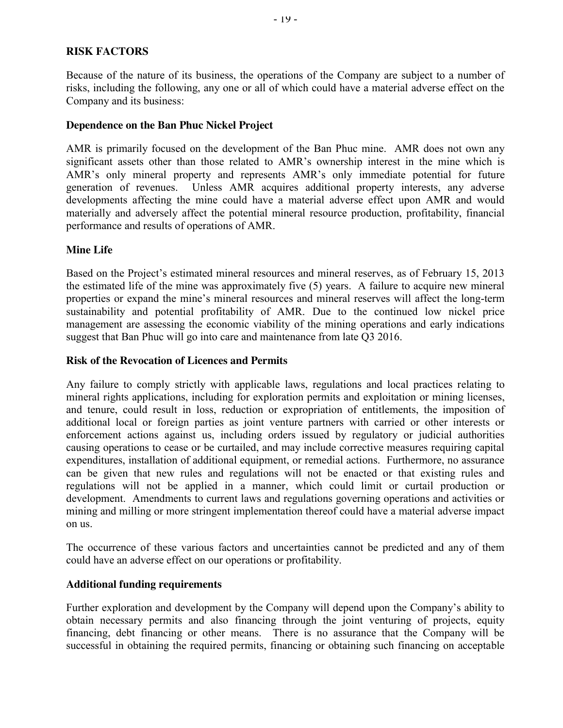### **RISK FACTORS**

Because of the nature of its business, the operations of the Company are subject to a number of risks, including the following, any one or all of which could have a material adverse effect on the Company and its business:

#### **Dependence on the Ban Phuc Nickel Project**

AMR is primarily focused on the development of the Ban Phuc mine. AMR does not own any significant assets other than those related to AMR's ownership interest in the mine which is AMR's only mineral property and represents AMR's only immediate potential for future generation of revenues. Unless AMR acquires additional property interests, any adverse developments affecting the mine could have a material adverse effect upon AMR and would materially and adversely affect the potential mineral resource production, profitability, financial performance and results of operations of AMR.

#### **Mine Life**

Based on the Project's estimated mineral resources and mineral reserves, as of February 15, 2013 the estimated life of the mine was approximately five (5) years. A failure to acquire new mineral properties or expand the mine's mineral resources and mineral reserves will affect the long-term sustainability and potential profitability of AMR. Due to the continued low nickel price management are assessing the economic viability of the mining operations and early indications suggest that Ban Phuc will go into care and maintenance from late Q3 2016.

#### **Risk of the Revocation of Licences and Permits**

Any failure to comply strictly with applicable laws, regulations and local practices relating to mineral rights applications, including for exploration permits and exploitation or mining licenses, and tenure, could result in loss, reduction or expropriation of entitlements, the imposition of additional local or foreign parties as joint venture partners with carried or other interests or enforcement actions against us, including orders issued by regulatory or judicial authorities causing operations to cease or be curtailed, and may include corrective measures requiring capital expenditures, installation of additional equipment, or remedial actions. Furthermore, no assurance can be given that new rules and regulations will not be enacted or that existing rules and regulations will not be applied in a manner, which could limit or curtail production or development. Amendments to current laws and regulations governing operations and activities or mining and milling or more stringent implementation thereof could have a material adverse impact on us.

The occurrence of these various factors and uncertainties cannot be predicted and any of them could have an adverse effect on our operations or profitability.

#### **Additional funding requirements**

Further exploration and development by the Company will depend upon the Company's ability to obtain necessary permits and also financing through the joint venturing of projects, equity financing, debt financing or other means. There is no assurance that the Company will be successful in obtaining the required permits, financing or obtaining such financing on acceptable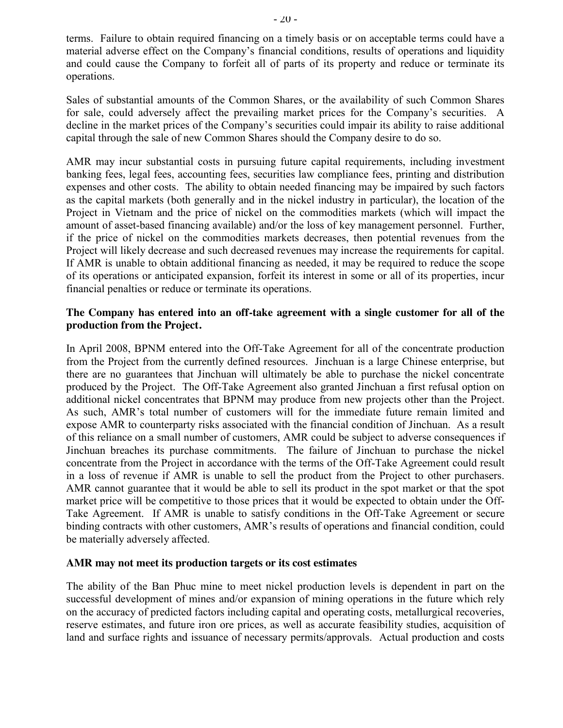terms. Failure to obtain required financing on a timely basis or on acceptable terms could have a material adverse effect on the Company's financial conditions, results of operations and liquidity and could cause the Company to forfeit all of parts of its property and reduce or terminate its operations.

Sales of substantial amounts of the Common Shares, or the availability of such Common Shares for sale, could adversely affect the prevailing market prices for the Company's securities. A decline in the market prices of the Company's securities could impair its ability to raise additional capital through the sale of new Common Shares should the Company desire to do so.

AMR may incur substantial costs in pursuing future capital requirements, including investment banking fees, legal fees, accounting fees, securities law compliance fees, printing and distribution expenses and other costs. The ability to obtain needed financing may be impaired by such factors as the capital markets (both generally and in the nickel industry in particular), the location of the Project in Vietnam and the price of nickel on the commodities markets (which will impact the amount of asset-based financing available) and/or the loss of key management personnel. Further, if the price of nickel on the commodities markets decreases, then potential revenues from the Project will likely decrease and such decreased revenues may increase the requirements for capital. If AMR is unable to obtain additional financing as needed, it may be required to reduce the scope of its operations or anticipated expansion, forfeit its interest in some or all of its properties, incur financial penalties or reduce or terminate its operations.

### **The Company has entered into an off-take agreement with a single customer for all of the production from the Project.**

In April 2008, BPNM entered into the Off-Take Agreement for all of the concentrate production from the Project from the currently defined resources. Jinchuan is a large Chinese enterprise, but there are no guarantees that Jinchuan will ultimately be able to purchase the nickel concentrate produced by the Project. The Off-Take Agreement also granted Jinchuan a first refusal option on additional nickel concentrates that BPNM may produce from new projects other than the Project. As such, AMR's total number of customers will for the immediate future remain limited and expose AMR to counterparty risks associated with the financial condition of Jinchuan. As a result of this reliance on a small number of customers, AMR could be subject to adverse consequences if Jinchuan breaches its purchase commitments. The failure of Jinchuan to purchase the nickel concentrate from the Project in accordance with the terms of the Off-Take Agreement could result in a loss of revenue if AMR is unable to sell the product from the Project to other purchasers. AMR cannot guarantee that it would be able to sell its product in the spot market or that the spot market price will be competitive to those prices that it would be expected to obtain under the Off-Take Agreement. If AMR is unable to satisfy conditions in the Off-Take Agreement or secure binding contracts with other customers, AMR's results of operations and financial condition, could be materially adversely affected.

#### **AMR may not meet its production targets or its cost estimates**

The ability of the Ban Phuc mine to meet nickel production levels is dependent in part on the successful development of mines and/or expansion of mining operations in the future which rely on the accuracy of predicted factors including capital and operating costs, metallurgical recoveries, reserve estimates, and future iron ore prices, as well as accurate feasibility studies, acquisition of land and surface rights and issuance of necessary permits/approvals. Actual production and costs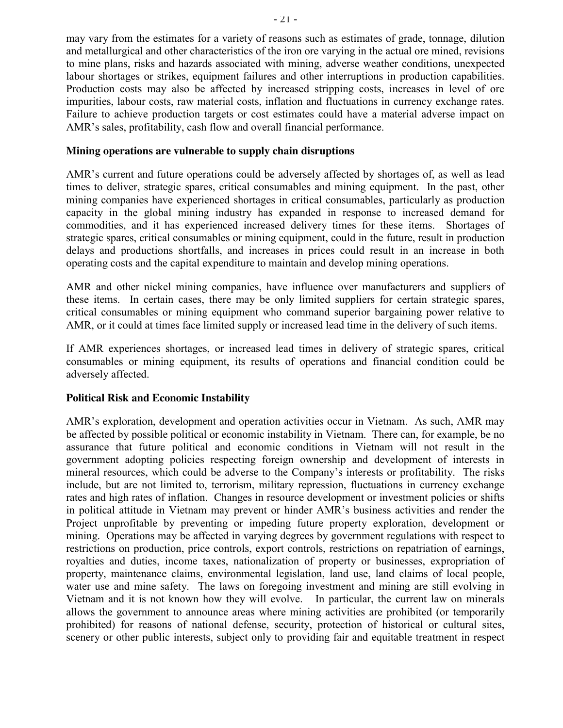may vary from the estimates for a variety of reasons such as estimates of grade, tonnage, dilution and metallurgical and other characteristics of the iron ore varying in the actual ore mined, revisions to mine plans, risks and hazards associated with mining, adverse weather conditions, unexpected labour shortages or strikes, equipment failures and other interruptions in production capabilities. Production costs may also be affected by increased stripping costs, increases in level of ore impurities, labour costs, raw material costs, inflation and fluctuations in currency exchange rates. Failure to achieve production targets or cost estimates could have a material adverse impact on AMR's sales, profitability, cash flow and overall financial performance.

#### **Mining operations are vulnerable to supply chain disruptions**

AMR's current and future operations could be adversely affected by shortages of, as well as lead times to deliver, strategic spares, critical consumables and mining equipment. In the past, other mining companies have experienced shortages in critical consumables, particularly as production capacity in the global mining industry has expanded in response to increased demand for commodities, and it has experienced increased delivery times for these items. Shortages of strategic spares, critical consumables or mining equipment, could in the future, result in production delays and productions shortfalls, and increases in prices could result in an increase in both operating costs and the capital expenditure to maintain and develop mining operations.

AMR and other nickel mining companies, have influence over manufacturers and suppliers of these items. In certain cases, there may be only limited suppliers for certain strategic spares, critical consumables or mining equipment who command superior bargaining power relative to AMR, or it could at times face limited supply or increased lead time in the delivery of such items.

If AMR experiences shortages, or increased lead times in delivery of strategic spares, critical consumables or mining equipment, its results of operations and financial condition could be adversely affected.

#### **Political Risk and Economic Instability**

AMR's exploration, development and operation activities occur in Vietnam. As such, AMR may be affected by possible political or economic instability in Vietnam. There can, for example, be no assurance that future political and economic conditions in Vietnam will not result in the government adopting policies respecting foreign ownership and development of interests in mineral resources, which could be adverse to the Company's interests or profitability. The risks include, but are not limited to, terrorism, military repression, fluctuations in currency exchange rates and high rates of inflation. Changes in resource development or investment policies or shifts in political attitude in Vietnam may prevent or hinder AMR's business activities and render the Project unprofitable by preventing or impeding future property exploration, development or mining. Operations may be affected in varying degrees by government regulations with respect to restrictions on production, price controls, export controls, restrictions on repatriation of earnings, royalties and duties, income taxes, nationalization of property or businesses, expropriation of property, maintenance claims, environmental legislation, land use, land claims of local people, water use and mine safety. The laws on foregoing investment and mining are still evolving in Vietnam and it is not known how they will evolve. In particular, the current law on minerals allows the government to announce areas where mining activities are prohibited (or temporarily prohibited) for reasons of national defense, security, protection of historical or cultural sites, scenery or other public interests, subject only to providing fair and equitable treatment in respect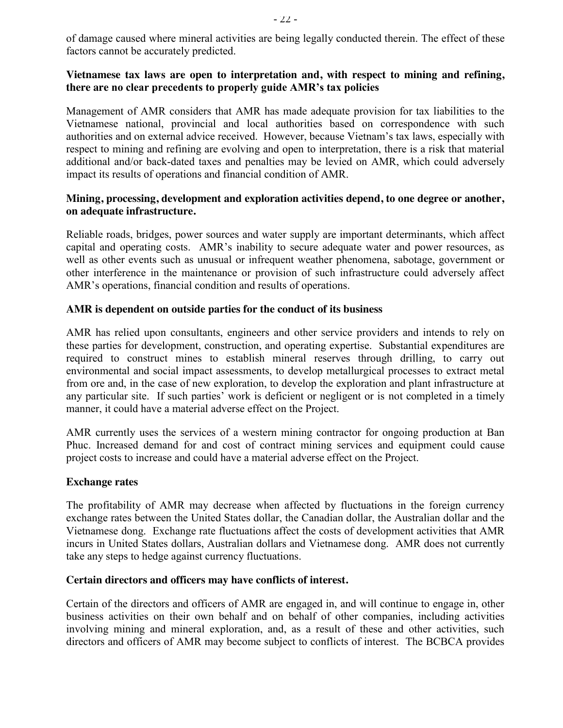of damage caused where mineral activities are being legally conducted therein. The effect of these factors cannot be accurately predicted.

#### **Vietnamese tax laws are open to interpretation and, with respect to mining and refining, there are no clear precedents to properly guide AMR's tax policies**

Management of AMR considers that AMR has made adequate provision for tax liabilities to the Vietnamese national, provincial and local authorities based on correspondence with such authorities and on external advice received. However, because Vietnam's tax laws, especially with respect to mining and refining are evolving and open to interpretation, there is a risk that material additional and/or back-dated taxes and penalties may be levied on AMR, which could adversely impact its results of operations and financial condition of AMR.

### **Mining, processing, development and exploration activities depend, to one degree or another, on adequate infrastructure.**

Reliable roads, bridges, power sources and water supply are important determinants, which affect capital and operating costs. AMR's inability to secure adequate water and power resources, as well as other events such as unusual or infrequent weather phenomena, sabotage, government or other interference in the maintenance or provision of such infrastructure could adversely affect AMR's operations, financial condition and results of operations.

### **AMR is dependent on outside parties for the conduct of its business**

AMR has relied upon consultants, engineers and other service providers and intends to rely on these parties for development, construction, and operating expertise. Substantial expenditures are required to construct mines to establish mineral reserves through drilling, to carry out environmental and social impact assessments, to develop metallurgical processes to extract metal from ore and, in the case of new exploration, to develop the exploration and plant infrastructure at any particular site. If such parties' work is deficient or negligent or is not completed in a timely manner, it could have a material adverse effect on the Project.

AMR currently uses the services of a western mining contractor for ongoing production at Ban Phuc. Increased demand for and cost of contract mining services and equipment could cause project costs to increase and could have a material adverse effect on the Project.

#### **Exchange rates**

The profitability of AMR may decrease when affected by fluctuations in the foreign currency exchange rates between the United States dollar, the Canadian dollar, the Australian dollar and the Vietnamese dong. Exchange rate fluctuations affect the costs of development activities that AMR incurs in United States dollars, Australian dollars and Vietnamese dong. AMR does not currently take any steps to hedge against currency fluctuations.

#### **Certain directors and officers may have conflicts of interest.**

Certain of the directors and officers of AMR are engaged in, and will continue to engage in, other business activities on their own behalf and on behalf of other companies, including activities involving mining and mineral exploration, and, as a result of these and other activities, such directors and officers of AMR may become subject to conflicts of interest. The BCBCA provides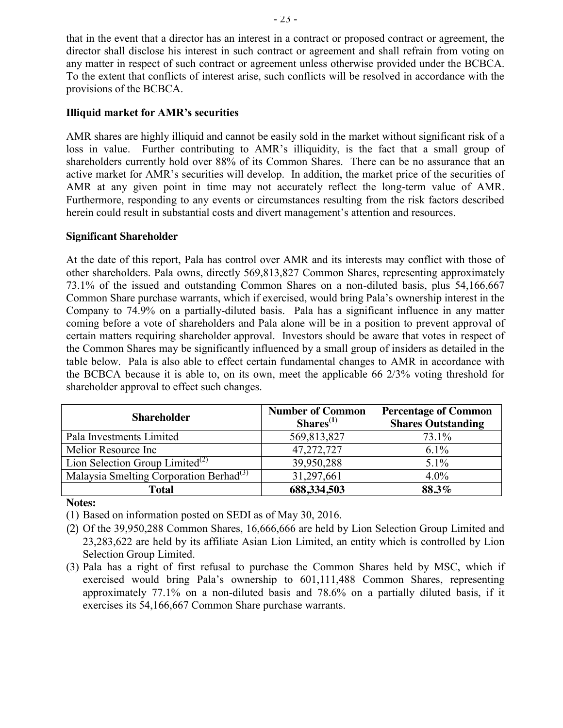that in the event that a director has an interest in a contract or proposed contract or agreement, the director shall disclose his interest in such contract or agreement and shall refrain from voting on any matter in respect of such contract or agreement unless otherwise provided under the BCBCA. To the extent that conflicts of interest arise, such conflicts will be resolved in accordance with the provisions of the BCBCA.

### **Illiquid market for AMR's securities**

AMR shares are highly illiquid and cannot be easily sold in the market without significant risk of a loss in value. Further contributing to AMR's illiquidity, is the fact that a small group of shareholders currently hold over 88% of its Common Shares. There can be no assurance that an active market for AMR's securities will develop. In addition, the market price of the securities of AMR at any given point in time may not accurately reflect the long-term value of AMR. Furthermore, responding to any events or circumstances resulting from the risk factors described herein could result in substantial costs and divert management's attention and resources.

#### **Significant Shareholder**

At the date of this report, Pala has control over AMR and its interests may conflict with those of other shareholders. Pala owns, directly 569,813,827 Common Shares, representing approximately 73.1% of the issued and outstanding Common Shares on a non-diluted basis, plus 54,166,667 Common Share purchase warrants, which if exercised, would bring Pala's ownership interest in the Company to 74.9% on a partially-diluted basis. Pala has a significant influence in any matter coming before a vote of shareholders and Pala alone will be in a position to prevent approval of certain matters requiring shareholder approval. Investors should be aware that votes in respect of the Common Shares may be significantly influenced by a small group of insiders as detailed in the table below. Pala is also able to effect certain fundamental changes to AMR in accordance with the BCBCA because it is able to, on its own, meet the applicable 66 2/3% voting threshold for shareholder approval to effect such changes.

| <b>Shareholder</b>                                  | <b>Number of Common</b><br>$Shares^{(1)}$ | <b>Percentage of Common</b><br><b>Shares Outstanding</b> |  |  |
|-----------------------------------------------------|-------------------------------------------|----------------------------------------------------------|--|--|
| Pala Investments Limited                            | 569,813,827                               | 73.1%                                                    |  |  |
| Melior Resource Inc                                 | 47,272,727                                | $6.1\%$                                                  |  |  |
| Lion Selection Group Limited <sup>(2)</sup>         | 39,950,288                                | $5.1\%$                                                  |  |  |
| Malaysia Smelting Corporation Berhad <sup>(3)</sup> | 31,297,661                                | $4.0\%$                                                  |  |  |
| <b>Total</b>                                        | 688,334,503                               | 88.3%                                                    |  |  |

**Notes:**

(1) Based on information posted on SEDI as of May 30, 2016.

- (2) Of the 39,950,288 Common Shares, 16,666,666 are held by Lion Selection Group Limited and 23,283,622 are held by its affiliate Asian Lion Limited, an entity which is controlled by Lion Selection Group Limited.
- (3) Pala has a right of first refusal to purchase the Common Shares held by MSC, which if exercised would bring Pala's ownership to 601,111,488 Common Shares, representing approximately 77.1% on a non-diluted basis and 78.6% on a partially diluted basis, if it exercises its 54,166,667 Common Share purchase warrants.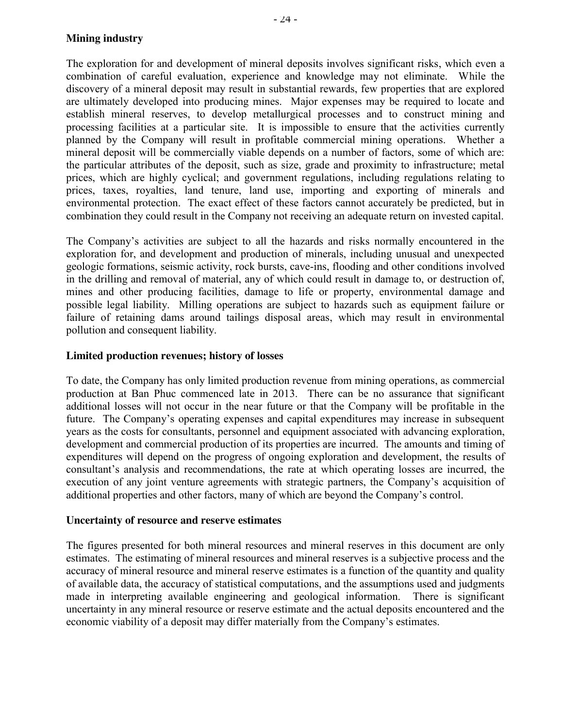### **Mining industry**

The exploration for and development of mineral deposits involves significant risks, which even a combination of careful evaluation, experience and knowledge may not eliminate. While the discovery of a mineral deposit may result in substantial rewards, few properties that are explored are ultimately developed into producing mines. Major expenses may be required to locate and establish mineral reserves, to develop metallurgical processes and to construct mining and processing facilities at a particular site. It is impossible to ensure that the activities currently planned by the Company will result in profitable commercial mining operations. Whether a mineral deposit will be commercially viable depends on a number of factors, some of which are: the particular attributes of the deposit, such as size, grade and proximity to infrastructure; metal prices, which are highly cyclical; and government regulations, including regulations relating to prices, taxes, royalties, land tenure, land use, importing and exporting of minerals and environmental protection. The exact effect of these factors cannot accurately be predicted, but in combination they could result in the Company not receiving an adequate return on invested capital.

The Company's activities are subject to all the hazards and risks normally encountered in the exploration for, and development and production of minerals, including unusual and unexpected geologic formations, seismic activity, rock bursts, cave-ins, flooding and other conditions involved in the drilling and removal of material, any of which could result in damage to, or destruction of, mines and other producing facilities, damage to life or property, environmental damage and possible legal liability. Milling operations are subject to hazards such as equipment failure or failure of retaining dams around tailings disposal areas, which may result in environmental pollution and consequent liability.

#### **Limited production revenues; history of losses**

To date, the Company has only limited production revenue from mining operations, as commercial production at Ban Phuc commenced late in 2013. There can be no assurance that significant additional losses will not occur in the near future or that the Company will be profitable in the future. The Company's operating expenses and capital expenditures may increase in subsequent years as the costs for consultants, personnel and equipment associated with advancing exploration, development and commercial production of its properties are incurred. The amounts and timing of expenditures will depend on the progress of ongoing exploration and development, the results of consultant's analysis and recommendations, the rate at which operating losses are incurred, the execution of any joint venture agreements with strategic partners, the Company's acquisition of additional properties and other factors, many of which are beyond the Company's control.

#### **Uncertainty of resource and reserve estimates**

The figures presented for both mineral resources and mineral reserves in this document are only estimates. The estimating of mineral resources and mineral reserves is a subjective process and the accuracy of mineral resource and mineral reserve estimates is a function of the quantity and quality of available data, the accuracy of statistical computations, and the assumptions used and judgments made in interpreting available engineering and geological information. There is significant uncertainty in any mineral resource or reserve estimate and the actual deposits encountered and the economic viability of a deposit may differ materially from the Company's estimates.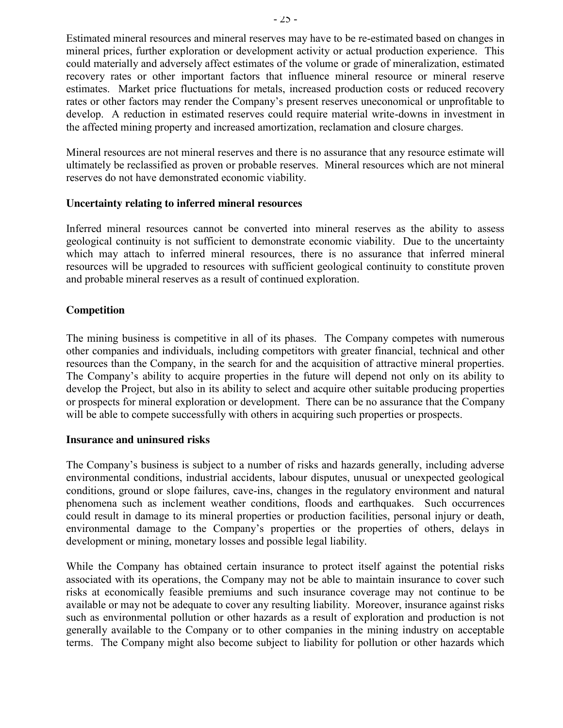Estimated mineral resources and mineral reserves may have to be re-estimated based on changes in mineral prices, further exploration or development activity or actual production experience. This could materially and adversely affect estimates of the volume or grade of mineralization, estimated recovery rates or other important factors that influence mineral resource or mineral reserve estimates. Market price fluctuations for metals, increased production costs or reduced recovery rates or other factors may render the Company's present reserves uneconomical or unprofitable to develop. A reduction in estimated reserves could require material write-downs in investment in the affected mining property and increased amortization, reclamation and closure charges.

Mineral resources are not mineral reserves and there is no assurance that any resource estimate will ultimately be reclassified as proven or probable reserves. Mineral resources which are not mineral reserves do not have demonstrated economic viability.

#### **Uncertainty relating to inferred mineral resources**

Inferred mineral resources cannot be converted into mineral reserves as the ability to assess geological continuity is not sufficient to demonstrate economic viability. Due to the uncertainty which may attach to inferred mineral resources, there is no assurance that inferred mineral resources will be upgraded to resources with sufficient geological continuity to constitute proven and probable mineral reserves as a result of continued exploration.

#### **Competition**

The mining business is competitive in all of its phases. The Company competes with numerous other companies and individuals, including competitors with greater financial, technical and other resources than the Company, in the search for and the acquisition of attractive mineral properties. The Company's ability to acquire properties in the future will depend not only on its ability to develop the Project, but also in its ability to select and acquire other suitable producing properties or prospects for mineral exploration or development. There can be no assurance that the Company will be able to compete successfully with others in acquiring such properties or prospects.

#### **Insurance and uninsured risks**

The Company's business is subject to a number of risks and hazards generally, including adverse environmental conditions, industrial accidents, labour disputes, unusual or unexpected geological conditions, ground or slope failures, cave-ins, changes in the regulatory environment and natural phenomena such as inclement weather conditions, floods and earthquakes. Such occurrences could result in damage to its mineral properties or production facilities, personal injury or death, environmental damage to the Company's properties or the properties of others, delays in development or mining, monetary losses and possible legal liability.

While the Company has obtained certain insurance to protect itself against the potential risks associated with its operations, the Company may not be able to maintain insurance to cover such risks at economically feasible premiums and such insurance coverage may not continue to be available or may not be adequate to cover any resulting liability. Moreover, insurance against risks such as environmental pollution or other hazards as a result of exploration and production is not generally available to the Company or to other companies in the mining industry on acceptable terms. The Company might also become subject to liability for pollution or other hazards which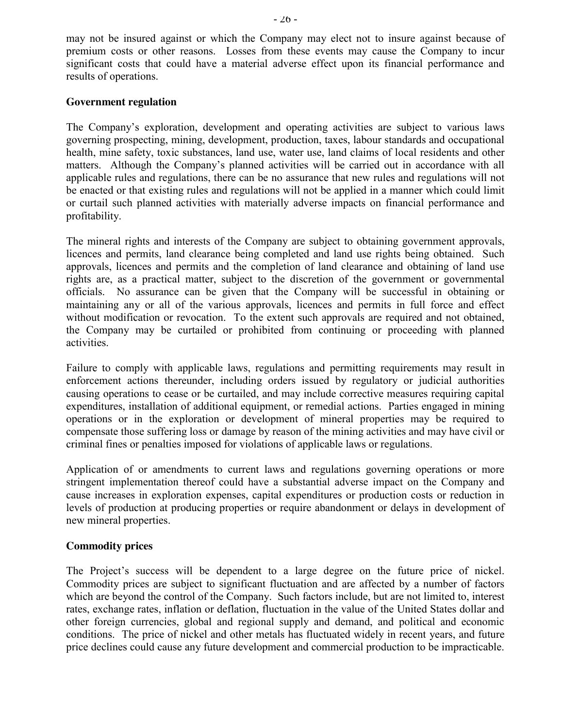may not be insured against or which the Company may elect not to insure against because of premium costs or other reasons. Losses from these events may cause the Company to incur significant costs that could have a material adverse effect upon its financial performance and results of operations.

#### **Government regulation**

The Company's exploration, development and operating activities are subject to various laws governing prospecting, mining, development, production, taxes, labour standards and occupational health, mine safety, toxic substances, land use, water use, land claims of local residents and other matters. Although the Company's planned activities will be carried out in accordance with all applicable rules and regulations, there can be no assurance that new rules and regulations will not be enacted or that existing rules and regulations will not be applied in a manner which could limit or curtail such planned activities with materially adverse impacts on financial performance and profitability.

The mineral rights and interests of the Company are subject to obtaining government approvals, licences and permits, land clearance being completed and land use rights being obtained. Such approvals, licences and permits and the completion of land clearance and obtaining of land use rights are, as a practical matter, subject to the discretion of the government or governmental officials. No assurance can be given that the Company will be successful in obtaining or maintaining any or all of the various approvals, licences and permits in full force and effect without modification or revocation. To the extent such approvals are required and not obtained, the Company may be curtailed or prohibited from continuing or proceeding with planned activities.

Failure to comply with applicable laws, regulations and permitting requirements may result in enforcement actions thereunder, including orders issued by regulatory or judicial authorities causing operations to cease or be curtailed, and may include corrective measures requiring capital expenditures, installation of additional equipment, or remedial actions. Parties engaged in mining operations or in the exploration or development of mineral properties may be required to compensate those suffering loss or damage by reason of the mining activities and may have civil or criminal fines or penalties imposed for violations of applicable laws or regulations.

Application of or amendments to current laws and regulations governing operations or more stringent implementation thereof could have a substantial adverse impact on the Company and cause increases in exploration expenses, capital expenditures or production costs or reduction in levels of production at producing properties or require abandonment or delays in development of new mineral properties.

#### **Commodity prices**

The Project's success will be dependent to a large degree on the future price of nickel. Commodity prices are subject to significant fluctuation and are affected by a number of factors which are beyond the control of the Company. Such factors include, but are not limited to, interest rates, exchange rates, inflation or deflation, fluctuation in the value of the United States dollar and other foreign currencies, global and regional supply and demand, and political and economic conditions. The price of nickel and other metals has fluctuated widely in recent years, and future price declines could cause any future development and commercial production to be impracticable.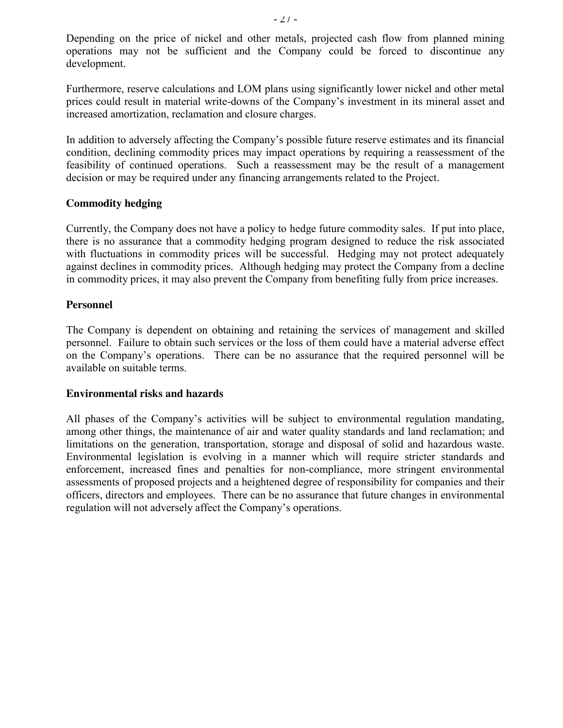Depending on the price of nickel and other metals, projected cash flow from planned mining operations may not be sufficient and the Company could be forced to discontinue any development.

Furthermore, reserve calculations and LOM plans using significantly lower nickel and other metal prices could result in material write-downs of the Company's investment in its mineral asset and increased amortization, reclamation and closure charges.

In addition to adversely affecting the Company's possible future reserve estimates and its financial condition, declining commodity prices may impact operations by requiring a reassessment of the feasibility of continued operations. Such a reassessment may be the result of a management decision or may be required under any financing arrangements related to the Project.

### **Commodity hedging**

Currently, the Company does not have a policy to hedge future commodity sales. If put into place, there is no assurance that a commodity hedging program designed to reduce the risk associated with fluctuations in commodity prices will be successful. Hedging may not protect adequately against declines in commodity prices. Although hedging may protect the Company from a decline in commodity prices, it may also prevent the Company from benefiting fully from price increases.

#### **Personnel**

The Company is dependent on obtaining and retaining the services of management and skilled personnel. Failure to obtain such services or the loss of them could have a material adverse effect on the Company's operations. There can be no assurance that the required personnel will be available on suitable terms.

#### **Environmental risks and hazards**

All phases of the Company's activities will be subject to environmental regulation mandating, among other things, the maintenance of air and water quality standards and land reclamation; and limitations on the generation, transportation, storage and disposal of solid and hazardous waste. Environmental legislation is evolving in a manner which will require stricter standards and enforcement, increased fines and penalties for non-compliance, more stringent environmental assessments of proposed projects and a heightened degree of responsibility for companies and their officers, directors and employees. There can be no assurance that future changes in environmental regulation will not adversely affect the Company's operations.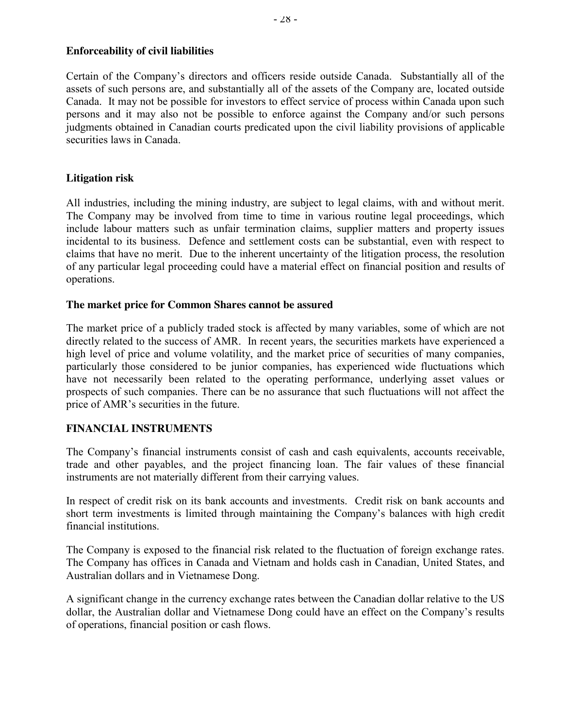### **Enforceability of civil liabilities**

Certain of the Company's directors and officers reside outside Canada. Substantially all of the assets of such persons are, and substantially all of the assets of the Company are, located outside Canada. It may not be possible for investors to effect service of process within Canada upon such persons and it may also not be possible to enforce against the Company and/or such persons judgments obtained in Canadian courts predicated upon the civil liability provisions of applicable securities laws in Canada.

#### **Litigation risk**

All industries, including the mining industry, are subject to legal claims, with and without merit. The Company may be involved from time to time in various routine legal proceedings, which include labour matters such as unfair termination claims, supplier matters and property issues incidental to its business. Defence and settlement costs can be substantial, even with respect to claims that have no merit. Due to the inherent uncertainty of the litigation process, the resolution of any particular legal proceeding could have a material effect on financial position and results of operations.

#### **The market price for Common Shares cannot be assured**

The market price of a publicly traded stock is affected by many variables, some of which are not directly related to the success of AMR. In recent years, the securities markets have experienced a high level of price and volume volatility, and the market price of securities of many companies, particularly those considered to be junior companies, has experienced wide fluctuations which have not necessarily been related to the operating performance, underlying asset values or prospects of such companies. There can be no assurance that such fluctuations will not affect the price of AMR's securities in the future.

#### **FINANCIAL INSTRUMENTS**

The Company's financial instruments consist of cash and cash equivalents, accounts receivable, trade and other payables, and the project financing loan. The fair values of these financial instruments are not materially different from their carrying values.

In respect of credit risk on its bank accounts and investments. Credit risk on bank accounts and short term investments is limited through maintaining the Company's balances with high credit financial institutions.

The Company is exposed to the financial risk related to the fluctuation of foreign exchange rates. The Company has offices in Canada and Vietnam and holds cash in Canadian, United States, and Australian dollars and in Vietnamese Dong.

A significant change in the currency exchange rates between the Canadian dollar relative to the US dollar, the Australian dollar and Vietnamese Dong could have an effect on the Company's results of operations, financial position or cash flows.